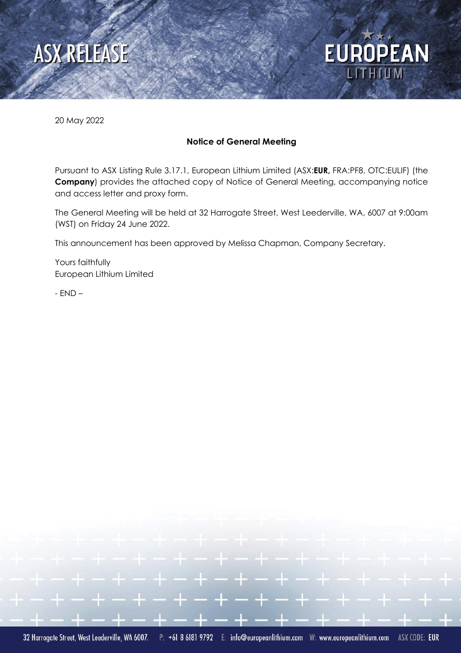



20 May 2022

#### **Notice of General Meeting**

Pursuant to ASX Listing Rule 3.17.1, European Lithium Limited (ASX:**EUR,** FRA:PF8, OTC:EULIF) (the **Company**) provides the attached copy of Notice of General Meeting, accompanying notice and access letter and proxy form.

The General Meeting will be held at 32 Harrogate Street, West Leederville, WA, 6007 at 9:00am (WST) on Friday 24 June 2022.

This announcement has been approved by Melissa Chapman, Company Secretary.

Yours faithfully European Lithium Limited

- END –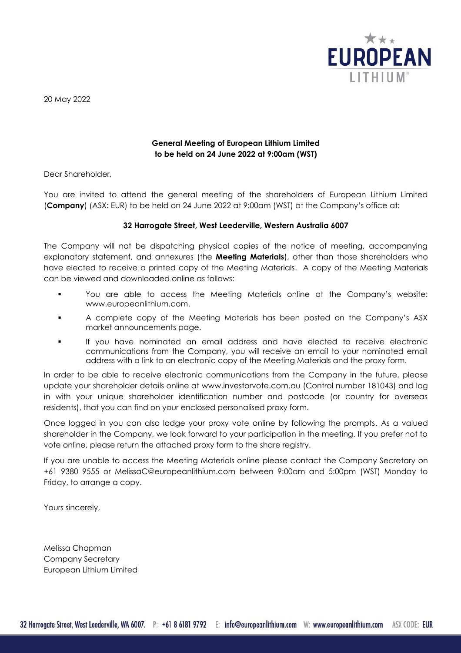

20 May 2022

#### **General Meeting of European Lithium Limited to be held on 24 June 2022 at 9:00am (WST)**

Dear Shareholder,

You are invited to attend the general meeting of the shareholders of European Lithium Limited (**Company**) (ASX: EUR) to be held on 24 June 2022 at 9:00am (WST) at the Company's office at:

#### **32 Harrogate Street, West Leederville, Western Australia 6007**

The Company will not be dispatching physical copies of the notice of meeting, accompanying explanatory statement, and annexures (the **Meeting Materials**), other than those shareholders who have elected to receive a printed copy of the Meeting Materials. A copy of the Meeting Materials can be viewed and downloaded online as follows:

- You are able to access the Meeting Materials online at the Company's website: www.europeanlithium.com.
- A complete copy of the Meeting Materials has been posted on the Company's ASX market announcements page.
- If you have nominated an email address and have elected to receive electronic communications from the Company, you will receive an email to your nominated email address with a link to an electronic copy of the Meeting Materials and the proxy form.

In order to be able to receive electronic communications from the Company in the future, please update your shareholder details online at [www.investorvote.com.au](https://urldefense.proofpoint.com/v2/url?u=http-3A__www.investorvote.com.au&d=DwMGaQ&c=euGZstcaTDllvimEN8b7jXrwqOf-v5A_CdpgnVfiiMM&r=1-vdG8tqGTVtoO3Tn86NaeAjKWIbNtcGZpIdBzdvavc&m=epqwIAvVTV8SP1sf4sqRUoEIH34bjshZAi50ccSu3B8&s=_kV-7ITbTKn3cheXBuI6ijhj_-Lm59eJsLu_HYnilxQ&e=) (Control number 181043) and log in with your unique shareholder identification number and postcode (or country for overseas residents), that you can find on your enclosed personalised proxy form.

Once logged in you can also lodge your proxy vote online by following the prompts. As a valued shareholder in the Company, we look forward to your participation in the meeting. If you prefer not to vote online, please return the attached proxy form to the share registry.

If you are unable to access the Meeting Materials online please contact the Company Secretary on +61 9380 9555 or MelissaC@europeanlithium.com between 9:00am and 5:00pm (WST) Monday to Friday, to arrange a copy.

Yours sincerely,

Melissa Chapman Company Secretary European Lithium Limited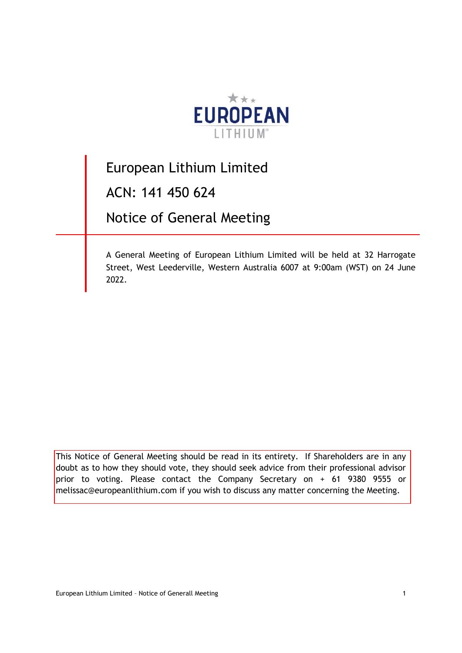

# European Lithium Limited

ACN: 141 450 624

Notice of General Meeting

A General Meeting of European Lithium Limited will be held at 32 Harrogate Street, West Leederville, Western Australia 6007 at 9:00am (WST) on 24 June 2022.

This Notice of General Meeting should be read in its entirety. If Shareholders are in any doubt as to how they should vote, they should seek advice from their professional advisor prior to voting. Please contact the Company Secretary on + 61 9380 9555 or melissac@europeanlithium.com if you wish to discuss any matter concerning the Meeting.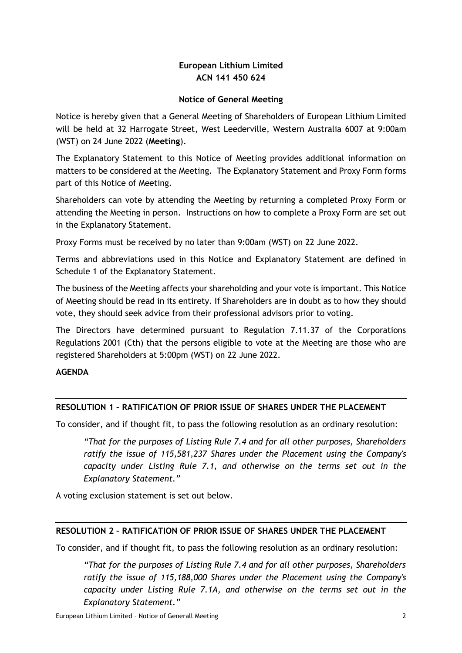# **European Lithium Limited ACN 141 450 624**

#### **Notice of General Meeting**

Notice is hereby given that a General Meeting of Shareholders of European Lithium Limited will be held at 32 Harrogate Street, West Leederville, Western Australia 6007 at 9:00am (WST) on 24 June 2022 (**Meeting**).

The Explanatory Statement to this Notice of Meeting provides additional information on matters to be considered at the Meeting. The Explanatory Statement and Proxy Form forms part of this Notice of Meeting.

Shareholders can vote by attending the Meeting by returning a completed Proxy Form or attending the Meeting in person. Instructions on how to complete a Proxy Form are set out in the Explanatory Statement.

Proxy Forms must be received by no later than 9:00am (WST) on 22 June 2022.

Terms and abbreviations used in this Notice and Explanatory Statement are defined in Schedule 1 of the Explanatory Statement.

The business of the Meeting affects your shareholding and your vote is important. This Notice of Meeting should be read in its entirety. If Shareholders are in doubt as to how they should vote, they should seek advice from their professional advisors prior to voting.

The Directors have determined pursuant to Regulation 7.11.37 of the Corporations Regulations 2001 (Cth) that the persons eligible to vote at the Meeting are those who are registered Shareholders at 5:00pm (WST) on 22 June 2022.

#### **AGENDA**

#### **RESOLUTION 1 – RATIFICATION OF PRIOR ISSUE OF SHARES UNDER THE PLACEMENT**

To consider, and if thought fit, to pass the following resolution as an ordinary resolution:

*"That for the purposes of Listing Rule 7.4 and for all other purposes, Shareholders ratify the issue of 115,581,237 Shares under the Placement using the Company's capacity under Listing Rule 7.1, and otherwise on the terms set out in the Explanatory Statement."* 

A voting exclusion statement is set out below.

#### **RESOLUTION 2 – RATIFICATION OF PRIOR ISSUE OF SHARES UNDER THE PLACEMENT**

To consider, and if thought fit, to pass the following resolution as an ordinary resolution:

*"That for the purposes of Listing Rule 7.4 and for all other purposes, Shareholders ratify the issue of 115,188,000 Shares under the Placement using the Company's capacity under Listing Rule 7.1A, and otherwise on the terms set out in the Explanatory Statement."* 

European Lithium Limited – Notice of Generall Meeting 2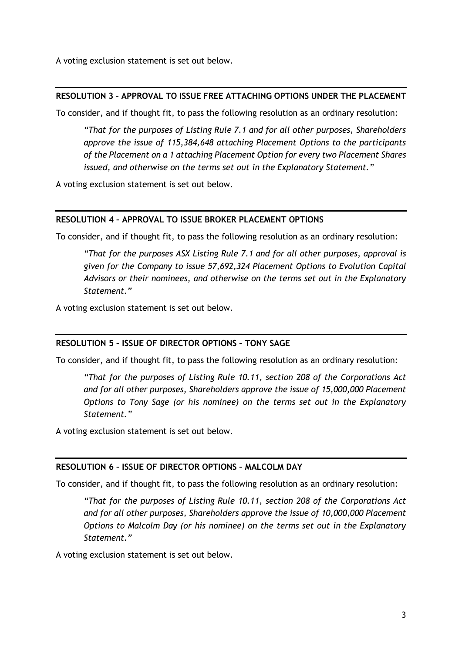A voting exclusion statement is set out below.

#### **RESOLUTION 3 – APPROVAL TO ISSUE FREE ATTACHING OPTIONS UNDER THE PLACEMENT**

To consider, and if thought fit, to pass the following resolution as an ordinary resolution:

*"That for the purposes of Listing Rule 7.1 and for all other purposes, Shareholders approve the issue of 115,384,648 attaching Placement Options to the participants of the Placement on a 1 attaching Placement Option for every two Placement Shares issued, and otherwise on the terms set out in the Explanatory Statement."* 

A voting exclusion statement is set out below.

#### **RESOLUTION 4 – APPROVAL TO ISSUE BROKER PLACEMENT OPTIONS**

To consider, and if thought fit, to pass the following resolution as an ordinary resolution:

*"That for the purposes ASX Listing Rule 7.1 and for all other purposes, approval is given for the Company to issue 57,692,324 Placement Options to Evolution Capital Advisors or their nominees, and otherwise on the terms set out in the Explanatory Statement."* 

A voting exclusion statement is set out below.

#### **RESOLUTION 5 – ISSUE OF DIRECTOR OPTIONS – TONY SAGE**

To consider, and if thought fit, to pass the following resolution as an ordinary resolution:

*"That for the purposes of Listing Rule 10.11, section 208 of the Corporations Act and for all other purposes, Shareholders approve the issue of 15,000,000 Placement Options to Tony Sage (or his nominee) on the terms set out in the Explanatory Statement."* 

A voting exclusion statement is set out below.

#### **RESOLUTION 6 – ISSUE OF DIRECTOR OPTIONS – MALCOLM DAY**

To consider, and if thought fit, to pass the following resolution as an ordinary resolution:

*"That for the purposes of Listing Rule 10.11, section 208 of the Corporations Act and for all other purposes, Shareholders approve the issue of 10,000,000 Placement Options to Malcolm Day (or his nominee) on the terms set out in the Explanatory Statement."* 

A voting exclusion statement is set out below.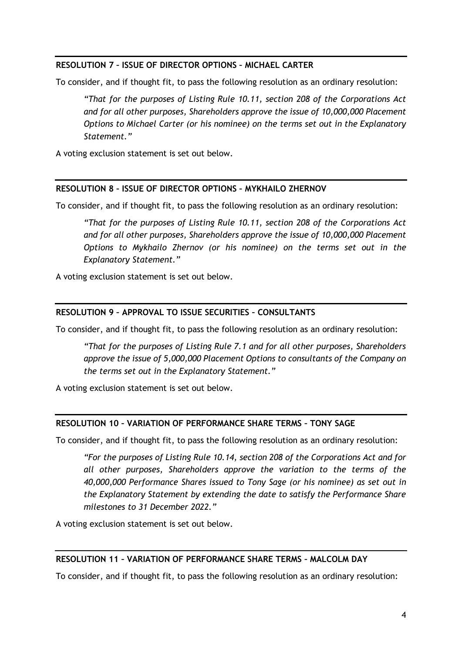#### **RESOLUTION 7 – ISSUE OF DIRECTOR OPTIONS – MICHAEL CARTER**

To consider, and if thought fit, to pass the following resolution as an ordinary resolution:

*"That for the purposes of Listing Rule 10.11, section 208 of the Corporations Act and for all other purposes, Shareholders approve the issue of 10,000,000 Placement Options to Michael Carter (or his nominee) on the terms set out in the Explanatory Statement."* 

A voting exclusion statement is set out below.

#### **RESOLUTION 8 – ISSUE OF DIRECTOR OPTIONS – MYKHAILO ZHERNOV**

To consider, and if thought fit, to pass the following resolution as an ordinary resolution:

*"That for the purposes of Listing Rule 10.11, section 208 of the Corporations Act and for all other purposes, Shareholders approve the issue of 10,000,000 Placement Options to Mykhailo Zhernov (or his nominee) on the terms set out in the Explanatory Statement."* 

A voting exclusion statement is set out below.

#### **RESOLUTION 9 – APPROVAL TO ISSUE SECURITIES – CONSULTANTS**

To consider, and if thought fit, to pass the following resolution as an ordinary resolution:

*"That for the purposes of Listing Rule 7.1 and for all other purposes, Shareholders approve the issue of 5,000,000 Placement Options to consultants of the Company on the terms set out in the Explanatory Statement."* 

A voting exclusion statement is set out below.

#### **RESOLUTION 10 – VARIATION OF PERFORMANCE SHARE TERMS – TONY SAGE**

To consider, and if thought fit, to pass the following resolution as an ordinary resolution:

*"For the purposes of Listing Rule 10.14, section 208 of the Corporations Act and for all other purposes, Shareholders approve the variation to the terms of the 40,000,000 Performance Shares issued to Tony Sage (or his nominee) as set out in the Explanatory Statement by extending the date to satisfy the Performance Share milestones to 31 December 2022."* 

A voting exclusion statement is set out below.

#### **RESOLUTION 11 – VARIATION OF PERFORMANCE SHARE TERMS – MALCOLM DAY**

To consider, and if thought fit, to pass the following resolution as an ordinary resolution: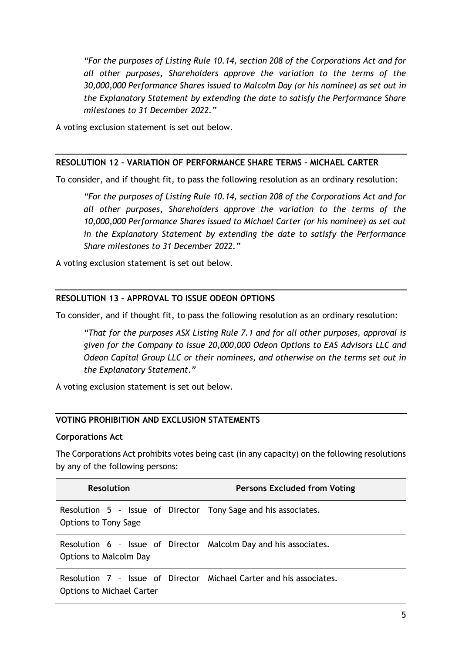*"For the purposes of Listing Rule 10.14, section 208 of the Corporations Act and for all other purposes, Shareholders approve the variation to the terms of the 30,000,000 Performance Shares issued to Malcolm Day (or his nominee) as set out in the Explanatory Statement by extending the date to satisfy the Performance Share milestones to 31 December 2022."* 

A voting exclusion statement is set out below.

#### **RESOLUTION 12 – VARIATION OF PERFORMANCE SHARE TERMS – MICHAEL CARTER**

To consider, and if thought fit, to pass the following resolution as an ordinary resolution:

*"For the purposes of Listing Rule 10.14, section 208 of the Corporations Act and for all other purposes, Shareholders approve the variation to the terms of the 10,000,000 Performance Shares issued to Michael Carter (or his nominee) as set out in the Explanatory Statement by extending the date to satisfy the Performance Share milestones to 31 December 2022."* 

A voting exclusion statement is set out below.

#### **RESOLUTION 13 – APPROVAL TO ISSUE ODEON OPTIONS**

To consider, and if thought fit, to pass the following resolution as an ordinary resolution:

*"That for the purposes ASX Listing Rule 7.1 and for all other purposes, approval is given for the Company to issue 20,000,000 Odeon Options to EAS Advisors LLC and Odeon Capital Group LLC or their nominees, and otherwise on the terms set out in the Explanatory Statement."* 

A voting exclusion statement is set out below.

#### **VOTING PROHIBITION AND EXCLUSION STATEMENTS**

#### **Corporations Act**

The Corporations Act prohibits votes being cast (in any capacity) on the following resolutions by any of the following persons:

| <b>Resolution</b>                                                                                       | <b>Persons Excluded from Voting</b> |
|---------------------------------------------------------------------------------------------------------|-------------------------------------|
| Resolution 5 - Issue of Director Tony Sage and his associates.<br><b>Options to Tony Sage</b>           |                                     |
| Resolution 6 - Issue of Director Malcolm Day and his associates.<br>Options to Malcolm Day              |                                     |
| Resolution 7 - Issue of Director Michael Carter and his associates.<br><b>Options to Michael Carter</b> |                                     |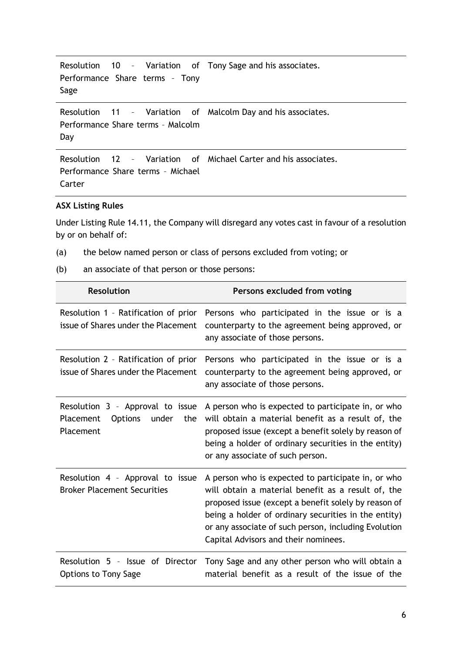```
Resolution 10 – Variation of 
Tony Sage and his associates.
Performance Share terms – Tony 
Sage
```
Resolution  $11 -$ Performance Share terms – Malcolm Day Variation of Malcolm Day and his associates.

```
Resolution 12 – Variation of 
Michael Carter and his associates.
Performance Share terms – Michael 
Carter
```
#### **ASX Listing Rules**

Under Listing Rule 14.11, the Company will disregard any votes cast in favour of a resolution by or on behalf of:

- (a) the below named person or class of persons excluded from voting; or
- (b) an associate of that person or those persons:

| <b>Resolution</b>                                                                            | Persons excluded from voting                                                                                                                                                                                                                                                                                             |  |
|----------------------------------------------------------------------------------------------|--------------------------------------------------------------------------------------------------------------------------------------------------------------------------------------------------------------------------------------------------------------------------------------------------------------------------|--|
| Resolution 1 - Ratification of prior<br>issue of Shares under the Placement                  | Persons who participated in the issue or is a<br>counterparty to the agreement being approved, or<br>any associate of those persons.                                                                                                                                                                                     |  |
| Resolution 2 - Ratification of prior<br>issue of Shares under the Placement                  | Persons who participated in the issue or is a<br>counterparty to the agreement being approved, or<br>any associate of those persons.                                                                                                                                                                                     |  |
| Resolution 3 - Approval to issue<br>Placement<br><b>Options</b><br>under<br>the<br>Placement | A person who is expected to participate in, or who<br>will obtain a material benefit as a result of, the<br>proposed issue (except a benefit solely by reason of<br>being a holder of ordinary securities in the entity)<br>or any associate of such person.                                                             |  |
| Resolution 4 - Approval to issue<br><b>Broker Placement Securities</b>                       | A person who is expected to participate in, or who<br>will obtain a material benefit as a result of, the<br>proposed issue (except a benefit solely by reason of<br>being a holder of ordinary securities in the entity)<br>or any associate of such person, including Evolution<br>Capital Advisors and their nominees. |  |
| Resolution 5 - Issue of Director<br><b>Options to Tony Sage</b>                              | Tony Sage and any other person who will obtain a<br>material benefit as a result of the issue of the                                                                                                                                                                                                                     |  |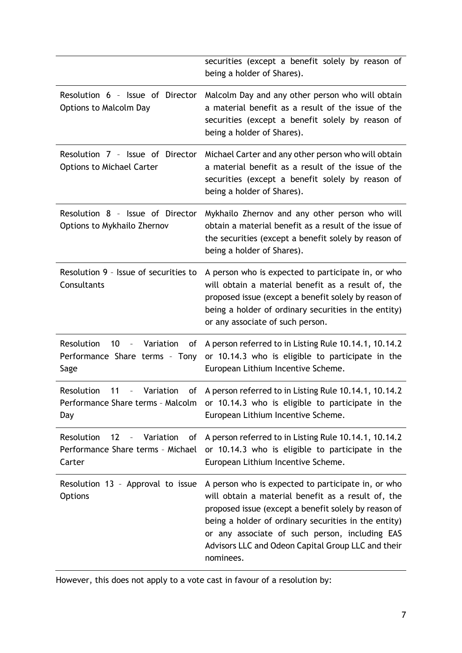|                                                                                                                | securities (except a benefit solely by reason of<br>being a holder of Shares).                                                                                                                                                                                                                                                                |
|----------------------------------------------------------------------------------------------------------------|-----------------------------------------------------------------------------------------------------------------------------------------------------------------------------------------------------------------------------------------------------------------------------------------------------------------------------------------------|
| Resolution 6 - Issue of Director<br><b>Options to Malcolm Day</b>                                              | Malcolm Day and any other person who will obtain<br>a material benefit as a result of the issue of the<br>securities (except a benefit solely by reason of<br>being a holder of Shares).                                                                                                                                                      |
| Resolution 7 - Issue of Director<br><b>Options to Michael Carter</b>                                           | Michael Carter and any other person who will obtain<br>a material benefit as a result of the issue of the<br>securities (except a benefit solely by reason of<br>being a holder of Shares).                                                                                                                                                   |
| Resolution 8 - Issue of Director<br>Options to Mykhailo Zhernov                                                | Mykhailo Zhernov and any other person who will<br>obtain a material benefit as a result of the issue of<br>the securities (except a benefit solely by reason of<br>being a holder of Shares).                                                                                                                                                 |
| Resolution 9 - Issue of securities to<br>Consultants                                                           | A person who is expected to participate in, or who<br>will obtain a material benefit as a result of, the<br>proposed issue (except a benefit solely by reason of<br>being a holder of ordinary securities in the entity)<br>or any associate of such person.                                                                                  |
| Resolution<br>10<br>Variation<br>of<br>$\overline{\phantom{0}}$<br>Performance Share terms - Tony<br>Sage      | A person referred to in Listing Rule 10.14.1, 10.14.2<br>or 10.14.3 who is eligible to participate in the<br>European Lithium Incentive Scheme.                                                                                                                                                                                               |
| Resolution<br>Variation<br>11<br>$\equiv$<br>Day                                                               | of A person referred to in Listing Rule 10.14.1, 10.14.2<br>Performance Share terms - Malcolm or 10.14.3 who is eligible to participate in the<br>European Lithium Incentive Scheme.                                                                                                                                                          |
| Variation<br>Resolution<br>12<br>of<br>$\overline{\phantom{a}}$<br>Performance Share terms - Michael<br>Carter | A person referred to in Listing Rule 10.14.1, 10.14.2<br>or 10.14.3 who is eligible to participate in the<br>European Lithium Incentive Scheme.                                                                                                                                                                                               |
| Resolution 13 - Approval to issue<br><b>Options</b>                                                            | A person who is expected to participate in, or who<br>will obtain a material benefit as a result of, the<br>proposed issue (except a benefit solely by reason of<br>being a holder of ordinary securities in the entity)<br>or any associate of such person, including EAS<br>Advisors LLC and Odeon Capital Group LLC and their<br>nominees. |

However, this does not apply to a vote cast in favour of a resolution by: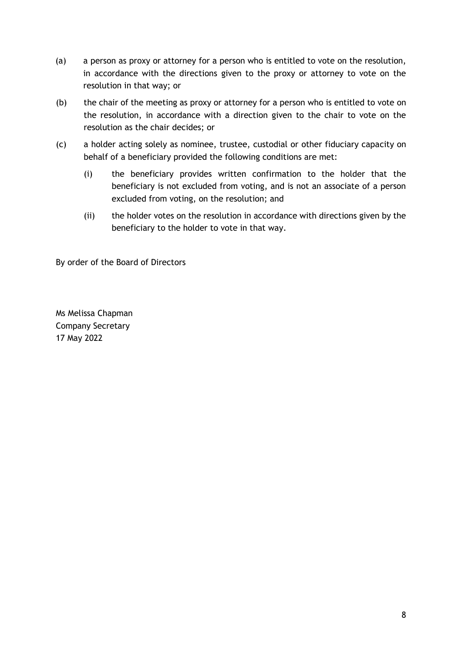- (a) a person as proxy or attorney for a person who is entitled to vote on the resolution, in accordance with the directions given to the proxy or attorney to vote on the resolution in that way; or
- (b) the chair of the meeting as proxy or attorney for a person who is entitled to vote on the resolution, in accordance with a direction given to the chair to vote on the resolution as the chair decides; or
- (c) a holder acting solely as nominee, trustee, custodial or other fiduciary capacity on behalf of a beneficiary provided the following conditions are met:
	- (i) the beneficiary provides written confirmation to the holder that the beneficiary is not excluded from voting, and is not an associate of a person excluded from voting, on the resolution; and
	- (ii) the holder votes on the resolution in accordance with directions given by the beneficiary to the holder to vote in that way.

By order of the Board of Directors

Ms Melissa Chapman Company Secretary 17 May 2022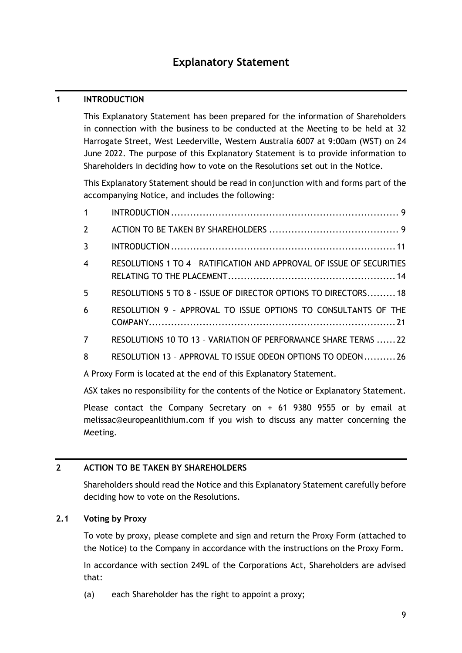# **Explanatory Statement**

### <span id="page-10-0"></span>**1 INTRODUCTION**

This Explanatory Statement has been prepared for the information of Shareholders in connection with the business to be conducted at the Meeting to be held at 32 Harrogate Street, West Leederville, Western Australia 6007 at 9:00am (WST) on 24 June 2022. The purpose of this Explanatory Statement is to provide information to Shareholders in deciding how to vote on the Resolutions set out in the Notice.

This Explanatory Statement should be read in conjunction with and forms part of the accompanying Notice, and includes the following:

| $\overline{2}$  |                                                                       |
|-----------------|-----------------------------------------------------------------------|
| $\overline{3}$  |                                                                       |
| $\overline{4}$  | RESOLUTIONS 1 TO 4 - RATIFICATION AND APPROVAL OF ISSUE OF SECURITIES |
| $5\phantom{.0}$ | RESOLUTIONS 5 TO 8 - ISSUE OF DIRECTOR OPTIONS TO DIRECTORS 18        |
| 6               | RESOLUTION 9 - APPROVAL TO ISSUE OPTIONS TO CONSULTANTS OF THE        |
| $\overline{7}$  | RESOLUTIONS 10 TO 13 - VARIATION OF PERFORMANCE SHARE TERMS  22       |
| 8               | RESOLUTION 13 - APPROVAL TO ISSUE ODEON OPTIONS TO ODEON26            |

A Proxy Form is located at the end of this Explanatory Statement.

ASX takes no responsibility for the contents of the Notice or Explanatory Statement.

Please contact the Company Secretary on + 61 9380 9555 or by email at melissac@europeanlithium.com if you wish to discuss any matter concerning the Meeting.

#### <span id="page-10-1"></span>**2 ACTION TO BE TAKEN BY SHAREHOLDERS**

Shareholders should read the Notice and this Explanatory Statement carefully before deciding how to vote on the Resolutions.

#### **2.1 Voting by Proxy**

To vote by proxy, please complete and sign and return the Proxy Form (attached to the Notice) to the Company in accordance with the instructions on the Proxy Form.

In accordance with section 249L of the Corporations Act, Shareholders are advised that:

(a) each Shareholder has the right to appoint a proxy;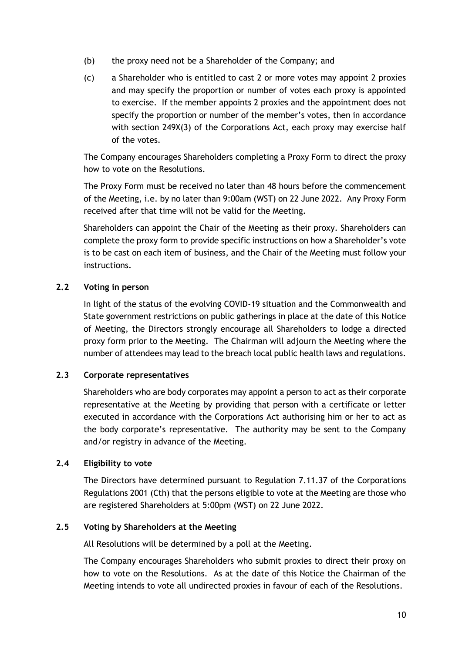- (b) the proxy need not be a Shareholder of the Company; and
- (c) a Shareholder who is entitled to cast 2 or more votes may appoint 2 proxies and may specify the proportion or number of votes each proxy is appointed to exercise. If the member appoints 2 proxies and the appointment does not specify the proportion or number of the member's votes, then in accordance with section 249X(3) of the Corporations Act, each proxy may exercise half of the votes.

The Company encourages Shareholders completing a Proxy Form to direct the proxy how to vote on the Resolutions.

The Proxy Form must be received no later than 48 hours before the commencement of the Meeting, i.e. by no later than 9:00am (WST) on 22 June 2022. Any Proxy Form received after that time will not be valid for the Meeting.

Shareholders can appoint the Chair of the Meeting as their proxy. Shareholders can complete the proxy form to provide specific instructions on how a Shareholder's vote is to be cast on each item of business, and the Chair of the Meeting must follow your instructions.

# **2.2 Voting in person**

In light of the status of the evolving COVID-19 situation and the Commonwealth and State government restrictions on public gatherings in place at the date of this Notice of Meeting, the Directors strongly encourage all Shareholders to lodge a directed proxy form prior to the Meeting. The Chairman will adjourn the Meeting where the number of attendees may lead to the breach local public health laws and regulations.

#### **2.3 Corporate representatives**

Shareholders who are body corporates may appoint a person to act as their corporate representative at the Meeting by providing that person with a certificate or letter executed in accordance with the Corporations Act authorising him or her to act as the body corporate's representative. The authority may be sent to the Company and/or registry in advance of the Meeting.

#### **2.4 Eligibility to vote**

The Directors have determined pursuant to Regulation 7.11.37 of the Corporations Regulations 2001 (Cth) that the persons eligible to vote at the Meeting are those who are registered Shareholders at 5:00pm (WST) on 22 June 2022.

#### **2.5 Voting by Shareholders at the Meeting**

All Resolutions will be determined by a poll at the Meeting.

The Company encourages Shareholders who submit proxies to direct their proxy on how to vote on the Resolutions. As at the date of this Notice the Chairman of the Meeting intends to vote all undirected proxies in favour of each of the Resolutions.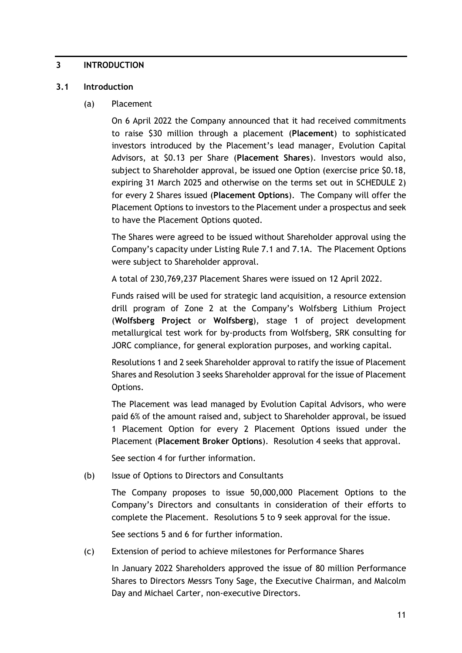#### <span id="page-12-0"></span>**3 INTRODUCTION**

#### <span id="page-12-2"></span><span id="page-12-1"></span>**3.1 Introduction**

#### (a) Placement

On 6 April 2022 the Company announced that it had received commitments to raise \$30 million through a placement (**Placement**) to sophisticated investors introduced by the Placement's lead manager, Evolution Capital Advisors, at \$0.13 per Share (**Placement Shares**). Investors would also, subject to Shareholder approval, be issued one Option (exercise price \$0.18, expiring 31 March 2025 and otherwise on the terms set out in [SCHEDULE 2\)](#page-31-0) for every 2 Shares issued (**Placement Options**). The Company will offer the Placement Options to investors to the Placement under a prospectus and seek to have the Placement Options quoted.

The Shares were agreed to be issued without Shareholder approval using the Company's capacity under Listing Rule 7.1 and 7.1A. The Placement Options were subject to Shareholder approval.

A total of 230,769,237 Placement Shares were issued on 12 April 2022.

Funds raised will be used for strategic land acquisition, a resource extension drill program of Zone 2 at the Company's Wolfsberg Lithium Project (**Wolfsberg Project** or **Wolfsberg**), stage 1 of project development metallurgical test work for by-products from Wolfsberg, SRK consulting for JORC compliance, for general exploration purposes, and working capital.

Resolutions 1 and 2 seek Shareholder approval to ratify the issue of Placement Shares and Resolution 3 seeks Shareholder approval for the issue of Placement Options.

The Placement was lead managed by Evolution Capital Advisors, who were paid 6% of the amount raised and, subject to Shareholder approval, be issued 1 Placement Option for every 2 Placement Options issued under the Placement (**Placement Broker Options**). Resolution 4 seeks that approval.

See section [4](#page-15-0) for further information.

(b) Issue of Options to Directors and Consultants

The Company proposes to issue 50,000,000 Placement Options to the Company's Directors and consultants in consideration of their efforts to complete the Placement. Resolutions 5 to 9 seek approval for the issue.

See sections 5 and 6 for further information.

(c) Extension of period to achieve milestones for Performance Shares

In January 2022 Shareholders approved the issue of 80 million Performance Shares to Directors Messrs Tony Sage, the Executive Chairman, and Malcolm Day and Michael Carter, non-executive Directors.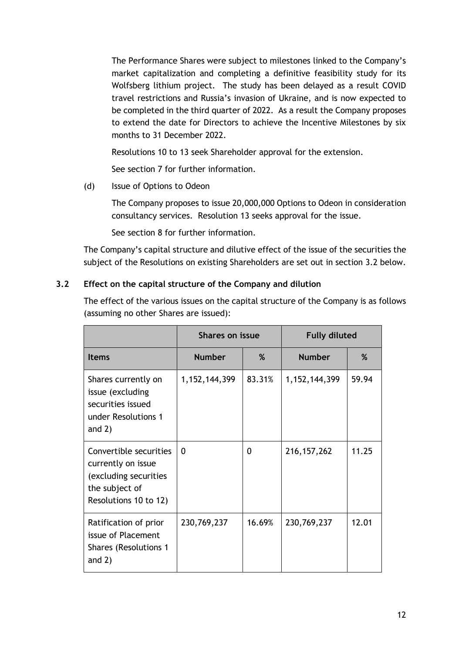The Performance Shares were subject to milestones linked to the Company's market capitalization and completing a definitive feasibility study for its Wolfsberg lithium project. The study has been delayed as a result COVID travel restrictions and Russia's invasion of Ukraine, and is now expected to be completed in the third quarter of 2022. As a result the Company proposes to extend the date for Directors to achieve the Incentive Milestones by six months to 31 December 2022.

Resolutions 10 to 13 seek Shareholder approval for the extension.

See section [7](#page-23-0) for further information.

(d) Issue of Options to Odeon

The Company proposes to issue 20,000,000 Options to Odeon in consideration consultancy services. Resolution 13 seeks approval for the issue.

See section [8](#page-27-0) for further information.

The Company's capital structure and dilutive effect of the issue of the securities the subject of the Resolutions on existing Shareholders are set out in section [3.2](#page-13-0) below.

# <span id="page-13-0"></span>**3.2 Effect on the capital structure of the Company and dilution**

The effect of the various issues on the capital structure of the Company is as follows (assuming no other Shares are issued):

|                                                                                                                  | <b>Shares on issue</b> |        | <b>Fully diluted</b> |       |
|------------------------------------------------------------------------------------------------------------------|------------------------|--------|----------------------|-------|
| <b>Items</b>                                                                                                     | <b>Number</b>          | ℅      | <b>Number</b>        | %     |
| Shares currently on<br>issue (excluding<br>securities issued<br>under Resolutions 1<br>and $2)$                  | 1, 152, 144, 399       | 83.31% | 1, 152, 144, 399     | 59.94 |
| Convertible securities<br>currently on issue<br>(excluding securities<br>the subject of<br>Resolutions 10 to 12) | 0                      | 0      | 216, 157, 262        | 11.25 |
| Ratification of prior<br>issue of Placement<br><b>Shares (Resolutions 1</b><br>and $2)$                          | 230,769,237            | 16.69% | 230,769,237          | 12.01 |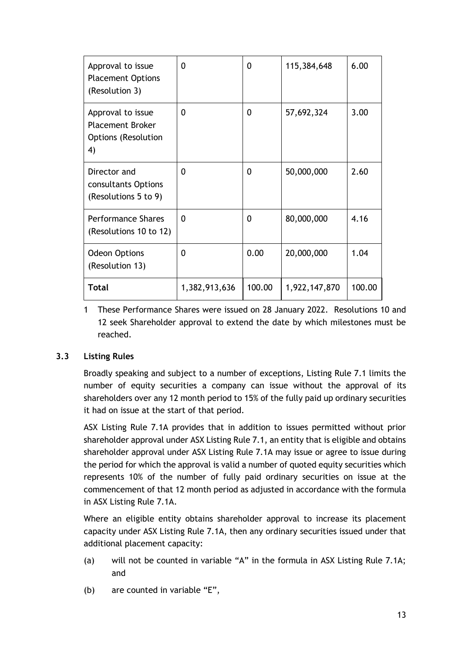| Approval to issue<br><b>Placement Options</b><br>(Resolution 3)                  | 0             | 0      | 115,384,648   | 6.00   |
|----------------------------------------------------------------------------------|---------------|--------|---------------|--------|
| Approval to issue<br><b>Placement Broker</b><br><b>Options (Resolution</b><br>4) | 0             | 0      | 57,692,324    | 3.00   |
| Director and<br>consultants Options<br>(Resolutions 5 to 9)                      | 0             | 0      | 50,000,000    | 2.60   |
| <b>Performance Shares</b><br>(Resolutions 10 to 12)                              | $\Omega$      | 0      | 80,000,000    | 4.16   |
| <b>Odeon Options</b><br>(Resolution 13)                                          | 0             | 0.00   | 20,000,000    | 1.04   |
| Total                                                                            | 1,382,913,636 | 100.00 | 1,922,147,870 | 100.00 |

1 These Performance Shares were issued on 28 January 2022. Resolutions 10 and 12 seek Shareholder approval to extend the date by which milestones must be reached.

# <span id="page-14-0"></span>**3.3 Listing Rules**

Broadly speaking and subject to a number of exceptions, Listing Rule 7.1 limits the number of equity securities a company can issue without the approval of its shareholders over any 12 month period to 15% of the fully paid up ordinary securities it had on issue at the start of that period.

ASX Listing Rule 7.1A provides that in addition to issues permitted without prior shareholder approval under ASX Listing Rule 7.1, an entity that is eligible and obtains shareholder approval under ASX Listing Rule 7.1A may issue or agree to issue during the period for which the approval is valid a number of quoted equity securities which represents 10% of the number of fully paid ordinary securities on issue at the commencement of that 12 month period as adjusted in accordance with the formula in ASX Listing Rule 7.1A.

Where an eligible entity obtains shareholder approval to increase its placement capacity under ASX Listing Rule 7.1A, then any ordinary securities issued under that additional placement capacity:

- (a) will not be counted in variable "A" in the formula in ASX Listing Rule 7.1A; and
- (b) are counted in variable "E",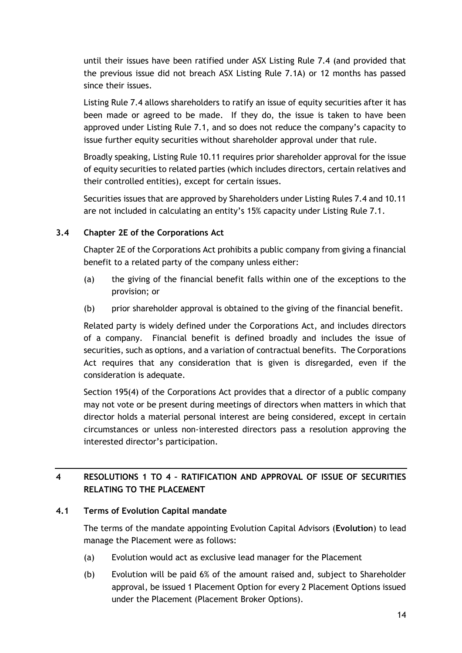until their issues have been ratified under ASX Listing Rule 7.4 (and provided that the previous issue did not breach ASX Listing Rule 7.1A) or 12 months has passed since their issues.

Listing Rule 7.4 allows shareholders to ratify an issue of equity securities after it has been made or agreed to be made. If they do, the issue is taken to have been approved under Listing Rule 7.1, and so does not reduce the company's capacity to issue further equity securities without shareholder approval under that rule.

Broadly speaking, Listing Rule 10.11 requires prior shareholder approval for the issue of equity securities to related parties (which includes directors, certain relatives and their controlled entities), except for certain issues.

Securities issues that are approved by Shareholders under Listing Rules 7.4 and 10.11 are not included in calculating an entity's 15% capacity under Listing Rule 7.1.

# <span id="page-15-2"></span>**3.4 Chapter 2E of the Corporations Act**

Chapter 2E of the Corporations Act prohibits a public company from giving a financial benefit to a related party of the company unless either:

- (a) the giving of the financial benefit falls within one of the exceptions to the provision; or
- (b) prior shareholder approval is obtained to the giving of the financial benefit.

Related party is widely defined under the Corporations Act, and includes directors of a company. Financial benefit is defined broadly and includes the issue of securities, such as options, and a variation of contractual benefits. The Corporations Act requires that any consideration that is given is disregarded, even if the consideration is adequate.

Section 195(4) of the Corporations Act provides that a director of a public company may not vote or be present during meetings of directors when matters in which that director holds a material personal interest are being considered, except in certain circumstances or unless non-interested directors pass a resolution approving the interested director's participation.

# <span id="page-15-0"></span>**4 RESOLUTIONS 1 TO 4 – RATIFICATION AND APPROVAL OF ISSUE OF SECURITIES RELATING TO THE PLACEMENT**

# <span id="page-15-1"></span>**4.1 Terms of Evolution Capital mandate**

The terms of the mandate appointing Evolution Capital Advisors (**Evolution**) to lead manage the Placement were as follows:

- (a) Evolution would act as exclusive lead manager for the Placement
- (b) Evolution will be paid 6% of the amount raised and, subject to Shareholder approval, be issued 1 Placement Option for every 2 Placement Options issued under the Placement (Placement Broker Options).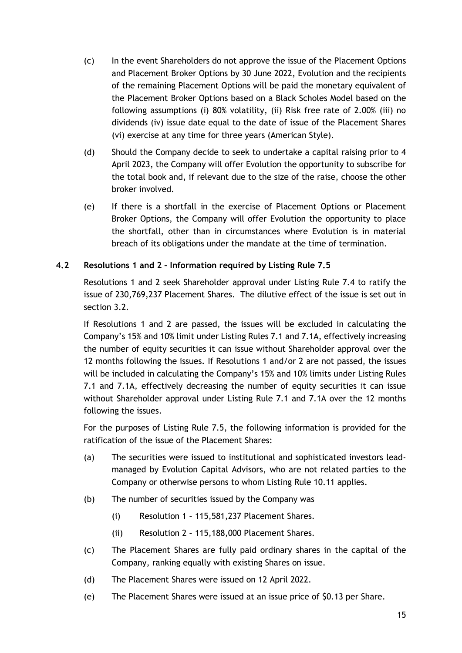- (c) In the event Shareholders do not approve the issue of the Placement Options and Placement Broker Options by 30 June 2022, Evolution and the recipients of the remaining Placement Options will be paid the monetary equivalent of the Placement Broker Options based on a Black Scholes Model based on the following assumptions (i) 80% volatility, (ii) Risk free rate of 2.00% (iii) no dividends (iv) issue date equal to the date of issue of the Placement Shares (vi) exercise at any time for three years (American Style).
- (d) Should the Company decide to seek to undertake a capital raising prior to 4 April 2023, the Company will offer Evolution the opportunity to subscribe for the total book and, if relevant due to the size of the raise, choose the other broker involved.
- (e) If there is a shortfall in the exercise of Placement Options or Placement Broker Options, the Company will offer Evolution the opportunity to place the shortfall, other than in circumstances where Evolution is in material breach of its obligations under the mandate at the time of termination.

#### **4.2 Resolutions 1 and 2 – Information required by Listing Rule 7.5**

Resolutions 1 and 2 seek Shareholder approval under Listing Rule 7.4 to ratify the issue of 230,769,237 Placement Shares. The dilutive effect of the issue is set out in section [3.2.](#page-13-0)

If Resolutions 1 and 2 are passed, the issues will be excluded in calculating the Company's 15% and 10% limit under Listing Rules 7.1 and 7.1A, effectively increasing the number of equity securities it can issue without Shareholder approval over the 12 months following the issues. If Resolutions 1 and/or 2 are not passed, the issues will be included in calculating the Company's 15% and 10% limits under Listing Rules 7.1 and 7.1A, effectively decreasing the number of equity securities it can issue without Shareholder approval under Listing Rule 7.1 and 7.1A over the 12 months following the issues.

For the purposes of Listing Rule 7.5, the following information is provided for the ratification of the issue of the Placement Shares:

- (a) The securities were issued to institutional and sophisticated investors leadmanaged by Evolution Capital Advisors, who are not related parties to the Company or otherwise persons to whom Listing Rule 10.11 applies.
- (b) The number of securities issued by the Company was
	- (i) Resolution 1 115,581,237 Placement Shares.
	- (ii) Resolution 2 115,188,000 Placement Shares.
- (c) The Placement Shares are fully paid ordinary shares in the capital of the Company, ranking equally with existing Shares on issue.
- (d) The Placement Shares were issued on 12 April 2022.
- (e) The Placement Shares were issued at an issue price of \$0.13 per Share.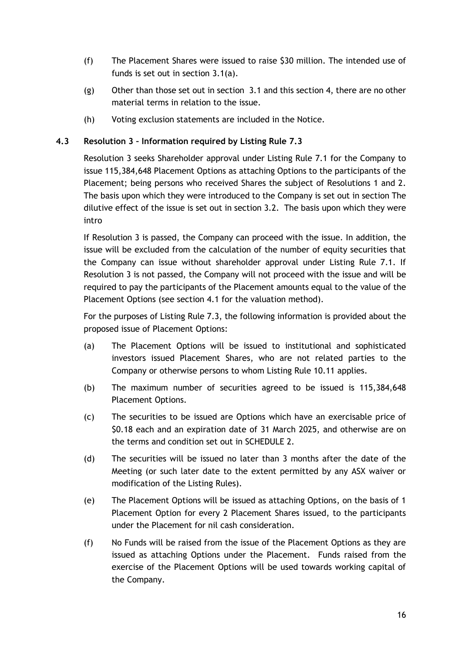- (f) The Placement Shares were issued to raise \$30 million. The intended use of funds is set out in section [3.1\(a\).](#page-12-1)
- (g) Other than those set out in section [3.1](#page-12-2) and this section [4,](#page-15-0) there are no other material terms in relation to the issue.
- (h) Voting exclusion statements are included in the Notice.

## **4.3 Resolution 3 – Information required by Listing Rule 7.3**

Resolution 3 seeks Shareholder approval under Listing Rule 7.1 for the Company to issue 115,384,648 Placement Options as attaching Options to the participants of the Placement; being persons who received Shares the subject of Resolutions 1 and 2. The basis upon which they were introduced to the Company is set out in section The dilutive effect of the issue is set out in section [3.2.](#page-13-0) The basis upon which they were intro

If Resolution 3 is passed, the Company can proceed with the issue. In addition, the issue will be excluded from the calculation of the number of equity securities that the Company can issue without shareholder approval under Listing Rule 7.1. If Resolution 3 is not passed, the Company will not proceed with the issue and will be required to pay the participants of the Placement amounts equal to the value of the Placement Options (see section [4.1](#page-15-1) for the valuation method).

For the purposes of Listing Rule 7.3, the following information is provided about the proposed issue of Placement Options:

- (a) The Placement Options will be issued to institutional and sophisticated investors issued Placement Shares, who are not related parties to the Company or otherwise persons to whom Listing Rule 10.11 applies.
- (b) The maximum number of securities agreed to be issued is 115,384,648 Placement Options.
- (c) The securities to be issued are Options which have an exercisable price of \$0.18 each and an expiration date of 31 March 2025, and otherwise are on the terms and condition set out in [SCHEDULE 2.](#page-31-0)
- (d) The securities will be issued no later than 3 months after the date of the Meeting (or such later date to the extent permitted by any ASX waiver or modification of the Listing Rules).
- (e) The Placement Options will be issued as attaching Options, on the basis of 1 Placement Option for every 2 Placement Shares issued, to the participants under the Placement for nil cash consideration.
- (f) No Funds will be raised from the issue of the Placement Options as they are issued as attaching Options under the Placement. Funds raised from the exercise of the Placement Options will be used towards working capital of the Company.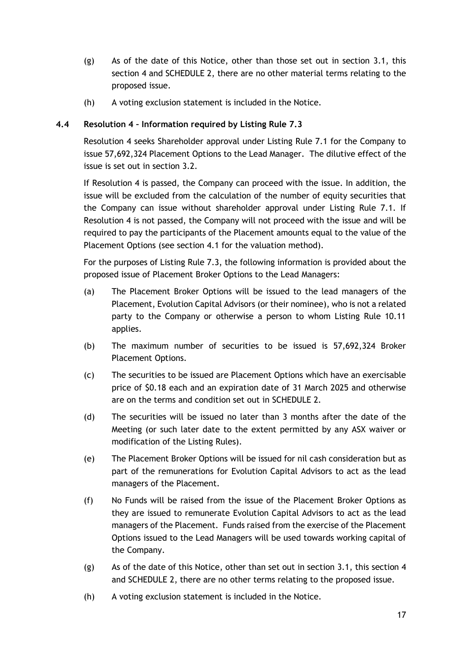- (g) As of the date of this Notice, other than those set out in section [3.1,](#page-12-2) this section [4](#page-15-0) and [SCHEDULE 2,](#page-31-0) there are no other material terms relating to the proposed issue.
- (h) A voting exclusion statement is included in the Notice.

# **4.4 Resolution 4 – Information required by Listing Rule 7.3**

Resolution 4 seeks Shareholder approval under Listing Rule 7.1 for the Company to issue 57,692,324 Placement Options to the Lead Manager. The dilutive effect of the issue is set out in section [3.2.](#page-13-0)

If Resolution 4 is passed, the Company can proceed with the issue. In addition, the issue will be excluded from the calculation of the number of equity securities that the Company can issue without shareholder approval under Listing Rule 7.1. If Resolution 4 is not passed, the Company will not proceed with the issue and will be required to pay the participants of the Placement amounts equal to the value of the Placement Options (see section [4.1](#page-15-1) for the valuation method).

For the purposes of Listing Rule 7.3, the following information is provided about the proposed issue of Placement Broker Options to the Lead Managers:

- (a) The Placement Broker Options will be issued to the lead managers of the Placement, Evolution Capital Advisors (or their nominee), who is not a related party to the Company or otherwise a person to whom Listing Rule 10.11 applies.
- (b) The maximum number of securities to be issued is 57,692,324 Broker Placement Options.
- (c) The securities to be issued are Placement Options which have an exercisable price of \$0.18 each and an expiration date of 31 March 2025 and otherwise are on the terms and condition set out in [SCHEDULE 2.](#page-31-0)
- (d) The securities will be issued no later than 3 months after the date of the Meeting (or such later date to the extent permitted by any ASX waiver or modification of the Listing Rules).
- (e) The Placement Broker Options will be issued for nil cash consideration but as part of the remunerations for Evolution Capital Advisors to act as the lead managers of the Placement.
- (f) No Funds will be raised from the issue of the Placement Broker Options as they are issued to remunerate Evolution Capital Advisors to act as the lead managers of the Placement. Funds raised from the exercise of the Placement Options issued to the Lead Managers will be used towards working capital of the Company.
- (g) As of the date of this Notice, other than set out in section [3.1,](#page-12-2) this section [4](#page-15-0) and [SCHEDULE 2,](#page-31-0) there are no other terms relating to the proposed issue.
- (h) A voting exclusion statement is included in the Notice.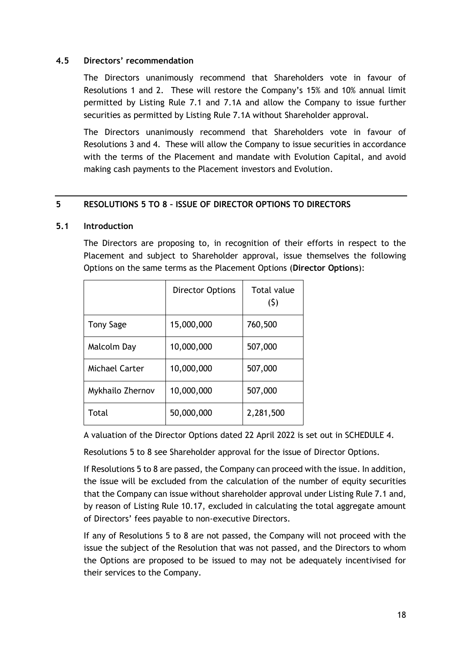#### **4.5 Directors' recommendation**

The Directors unanimously recommend that Shareholders vote in favour of Resolutions 1 and 2. These will restore the Company's 15% and 10% annual limit permitted by Listing Rule 7.1 and 7.1A and allow the Company to issue further securities as permitted by Listing Rule 7.1A without Shareholder approval.

The Directors unanimously recommend that Shareholders vote in favour of Resolutions 3 and 4. These will allow the Company to issue securities in accordance with the terms of the Placement and mandate with Evolution Capital, and avoid making cash payments to the Placement investors and Evolution.

#### <span id="page-19-0"></span>**5 RESOLUTIONS 5 TO 8 – ISSUE OF DIRECTOR OPTIONS TO DIRECTORS**

#### <span id="page-19-1"></span>**5.1 Introduction**

The Directors are proposing to, in recognition of their efforts in respect to the Placement and subject to Shareholder approval, issue themselves the following Options on the same terms as the Placement Options (**Director Options**):

|                  | <b>Director Options</b> | <b>Total value</b><br>(5) |
|------------------|-------------------------|---------------------------|
| <b>Tony Sage</b> | 15,000,000              | 760,500                   |
| Malcolm Day      | 10,000,000              | 507,000                   |
| Michael Carter   | 10,000,000              | 507,000                   |
| Mykhailo Zhernov | 10,000,000              | 507,000                   |
| Total            | 50,000,000              | 2,281,500                 |

A valuation of the Director Options dated 22 April 2022 is set out in [SCHEDULE 4.](#page-37-0)

Resolutions 5 to 8 see Shareholder approval for the issue of Director Options.

If Resolutions 5 to 8 are passed, the Company can proceed with the issue. In addition, the issue will be excluded from the calculation of the number of equity securities that the Company can issue without shareholder approval under Listing Rule 7.1 and, by reason of Listing Rule 10.17, excluded in calculating the total aggregate amount of Directors' fees payable to non-executive Directors.

If any of Resolutions 5 to 8 are not passed, the Company will not proceed with the issue the subject of the Resolution that was not passed, and the Directors to whom the Options are proposed to be issued to may not be adequately incentivised for their services to the Company.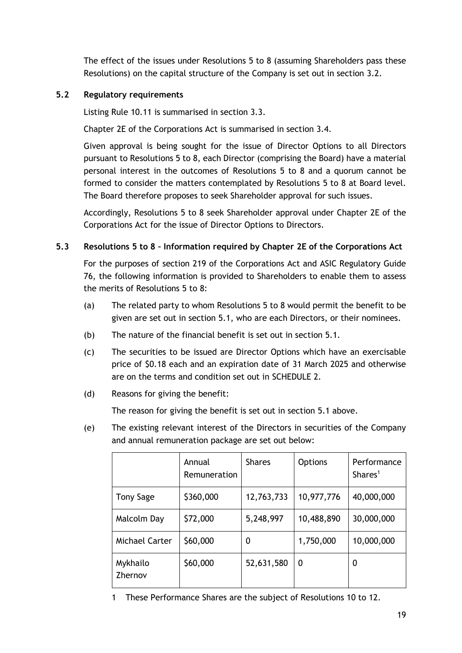The effect of the issues under Resolutions 5 to 8 (assuming Shareholders pass these Resolutions) on the capital structure of the Company is set out in section [3.2.](#page-13-0)

## **5.2 Regulatory requirements**

Listing Rule 10.11 is summarised in section [3.3.](#page-14-0)

Chapter 2E of the Corporations Act is summarised in section [3.4.](#page-15-2)

Given approval is being sought for the issue of Director Options to all Directors pursuant to Resolutions 5 to 8, each Director (comprising the Board) have a material personal interest in the outcomes of Resolutions 5 to 8 and a quorum cannot be formed to consider the matters contemplated by Resolutions 5 to 8 at Board level. The Board therefore proposes to seek Shareholder approval for such issues.

Accordingly, Resolutions 5 to 8 seek Shareholder approval under Chapter 2E of the Corporations Act for the issue of Director Options to Directors.

# **5.3 Resolutions 5 to 8 – Information required by Chapter 2E of the Corporations Act**

For the purposes of section 219 of the Corporations Act and ASIC Regulatory Guide 76, the following information is provided to Shareholders to enable them to assess the merits of Resolutions 5 to 8:

- (a) The related party to whom Resolutions 5 to 8 would permit the benefit to be given are set out in section [5.1,](#page-19-1) who are each Directors, or their nominees.
- (b) The nature of the financial benefit is set out in section [5.1.](#page-19-1)
- (c) The securities to be issued are Director Options which have an exercisable price of \$0.18 each and an expiration date of 31 March 2025 and otherwise are on the terms and condition set out in [SCHEDULE 2.](#page-31-0)
- (d) Reasons for giving the benefit:

The reason for giving the benefit is set out in section [5.1](#page-19-1) above.

<span id="page-20-0"></span>(e) The existing relevant interest of the Directors in securities of the Company and annual remuneration package are set out below:

|                       | Annual<br>Remuneration | <b>Shares</b> | <b>Options</b> | Performance<br>Shares <sup>1</sup> |
|-----------------------|------------------------|---------------|----------------|------------------------------------|
| <b>Tony Sage</b>      | \$360,000              | 12,763,733    | 10,977,776     | 40,000,000                         |
| Malcolm Day           | \$72,000               | 5,248,997     | 10,488,890     | 30,000,000                         |
| <b>Michael Carter</b> | \$60,000               | 0             | 1,750,000      | 10,000,000                         |
| Mykhailo<br>Zhernov   | \$60,000               | 52,631,580    | $\Omega$       | 0                                  |

1 These Performance Shares are the subject of Resolutions 10 to 12.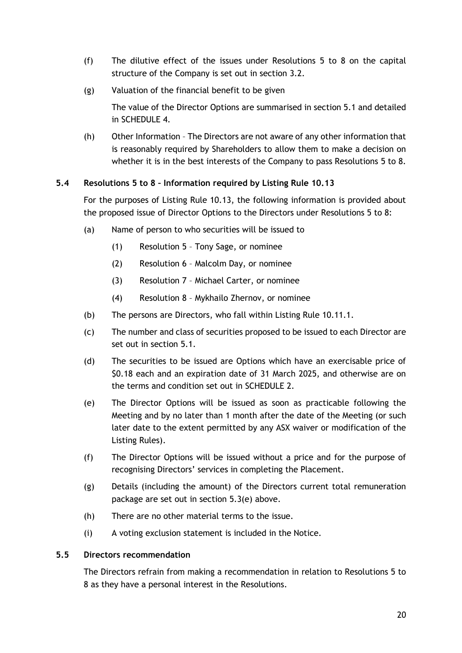- (f) The dilutive effect of the issues under Resolutions 5 to 8 on the capital structure of the Company is set out in section [3.2.](#page-13-0)
- (g) Valuation of the financial benefit to be given

The value of the Director Options are summarised in section [5.1](#page-19-1) and detailed in [SCHEDULE 4.](#page-37-0)

(h) Other Information – The Directors are not aware of any other information that is reasonably required by Shareholders to allow them to make a decision on whether it is in the best interests of the Company to pass Resolutions 5 to 8.

# **5.4 Resolutions 5 to 8 – Information required by Listing Rule 10.13**

For the purposes of Listing Rule 10.13, the following information is provided about the proposed issue of Director Options to the Directors under Resolutions 5 to 8:

- (a) Name of person to who securities will be issued to
	- (1) Resolution 5 Tony Sage, or nominee
	- (2) Resolution 6 Malcolm Day, or nominee
	- (3) Resolution 7 Michael Carter, or nominee
	- (4) Resolution 8 Mykhailo Zhernov, or nominee
- (b) The persons are Directors, who fall within Listing Rule 10.11.1.
- (c) The number and class of securities proposed to be issued to each Director are set out in section [5.1.](#page-19-1)
- (d) The securities to be issued are Options which have an exercisable price of \$0.18 each and an expiration date of 31 March 2025, and otherwise are on the terms and condition set out in [SCHEDULE 2.](#page-31-0)
- (e) The Director Options will be issued as soon as practicable following the Meeting and by no later than 1 month after the date of the Meeting (or such later date to the extent permitted by any ASX waiver or modification of the Listing Rules).
- (f) The Director Options will be issued without a price and for the purpose of recognising Directors' services in completing the Placement.
- (g) Details (including the amount) of the Directors current total remuneration package are set out in section [5.3\(e\)](#page-20-0) above.
- (h) There are no other material terms to the issue.
- (i) A voting exclusion statement is included in the Notice.

#### **5.5 Directors recommendation**

The Directors refrain from making a recommendation in relation to Resolutions 5 to 8 as they have a personal interest in the Resolutions.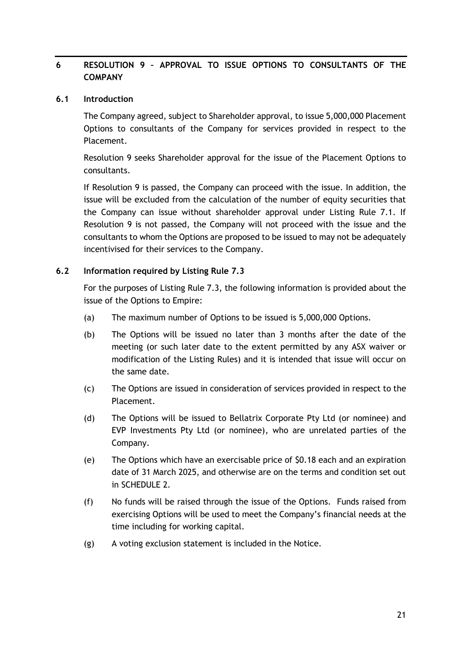# <span id="page-22-0"></span>**6 RESOLUTION 9 – APPROVAL TO ISSUE OPTIONS TO CONSULTANTS OF THE COMPANY**

#### **6.1 Introduction**

The Company agreed, subject to Shareholder approval, to issue 5,000,000 Placement Options to consultants of the Company for services provided in respect to the Placement.

Resolution 9 seeks Shareholder approval for the issue of the Placement Options to consultants.

If Resolution 9 is passed, the Company can proceed with the issue. In addition, the issue will be excluded from the calculation of the number of equity securities that the Company can issue without shareholder approval under Listing Rule 7.1. If Resolution 9 is not passed, the Company will not proceed with the issue and the consultants to whom the Options are proposed to be issued to may not be adequately incentivised for their services to the Company.

#### **6.2 Information required by Listing Rule 7.3**

For the purposes of Listing Rule 7.3, the following information is provided about the issue of the Options to Empire:

- (a) The maximum number of Options to be issued is 5,000,000 Options.
- (b) The Options will be issued no later than 3 months after the date of the meeting (or such later date to the extent permitted by any ASX waiver or modification of the Listing Rules) and it is intended that issue will occur on the same date.
- (c) The Options are issued in consideration of services provided in respect to the Placement.
- (d) The Options will be issued to Bellatrix Corporate Pty Ltd (or nominee) and EVP Investments Pty Ltd (or nominee), who are unrelated parties of the Company.
- (e) The Options which have an exercisable price of \$0.18 each and an expiration date of 31 March 2025, and otherwise are on the terms and condition set out in [SCHEDULE 2.](#page-31-0)
- (f) No funds will be raised through the issue of the Options. Funds raised from exercising Options will be used to meet the Company's financial needs at the time including for working capital.
- (g) A voting exclusion statement is included in the Notice.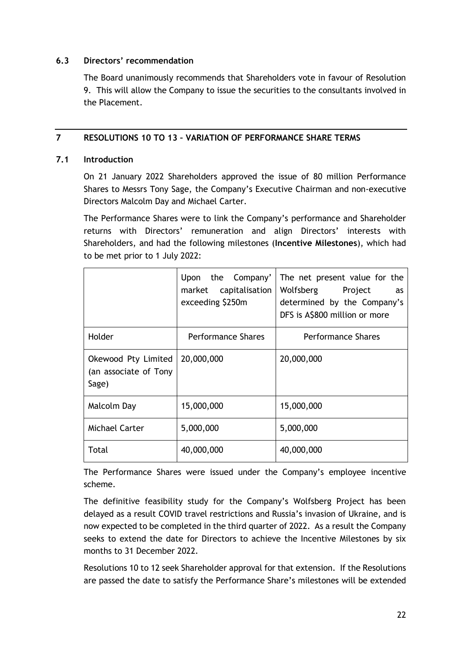#### **6.3 Directors' recommendation**

The Board unanimously recommends that Shareholders vote in favour of Resolution 9. This will allow the Company to issue the securities to the consultants involved in the Placement.

# <span id="page-23-0"></span>**7 RESOLUTIONS 10 TO 13 – VARIATION OF PERFORMANCE SHARE TERMS**

#### <span id="page-23-1"></span>**7.1 Introduction**

On 21 January 2022 Shareholders approved the issue of 80 million Performance Shares to Messrs Tony Sage, the Company's Executive Chairman and non-executive Directors Malcolm Day and Michael Carter.

The Performance Shares were to link the Company's performance and Shareholder returns with Directors' remuneration and align Directors' interests with Shareholders, and had the following milestones (**Incentive Milestones**), which had to be met prior to 1 July 2022:

|                                                       | Upon the Company'<br>market capitalisation<br>exceeding \$250m | The net present value for the<br>Wolfsberg Project<br>as<br>determined by the Company's<br>DFS is A\$800 million or more |
|-------------------------------------------------------|----------------------------------------------------------------|--------------------------------------------------------------------------------------------------------------------------|
| Holder                                                | Performance Shares                                             | <b>Performance Shares</b>                                                                                                |
| Okewood Pty Limited<br>(an associate of Tony<br>Sage) | 20,000,000                                                     | 20,000,000                                                                                                               |
| Malcolm Day                                           | 15,000,000                                                     | 15,000,000                                                                                                               |
| <b>Michael Carter</b>                                 | 5,000,000                                                      | 5,000,000                                                                                                                |
| Total                                                 | 40,000,000                                                     | 40,000,000                                                                                                               |

The Performance Shares were issued under the Company's employee incentive scheme.

The definitive feasibility study for the Company's Wolfsberg Project has been delayed as a result COVID travel restrictions and Russia's invasion of Ukraine, and is now expected to be completed in the third quarter of 2022. As a result the Company seeks to extend the date for Directors to achieve the Incentive Milestones by six months to 31 December 2022.

Resolutions 10 to 12 seek Shareholder approval for that extension. If the Resolutions are passed the date to satisfy the Performance Share's milestones will be extended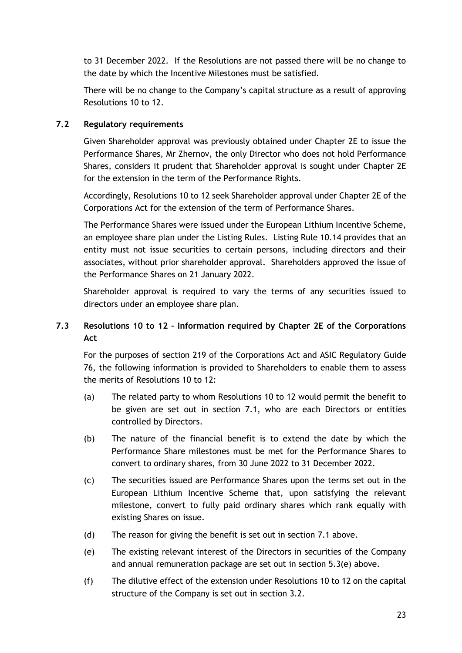to 31 December 2022. If the Resolutions are not passed there will be no change to the date by which the Incentive Milestones must be satisfied.

There will be no change to the Company's capital structure as a result of approving Resolutions 10 to 12.

# **7.2 Regulatory requirements**

Given Shareholder approval was previously obtained under Chapter 2E to issue the Performance Shares, Mr Zhernov, the only Director who does not hold Performance Shares, considers it prudent that Shareholder approval is sought under Chapter 2E for the extension in the term of the Performance Rights.

Accordingly, Resolutions 10 to 12 seek Shareholder approval under Chapter 2E of the Corporations Act for the extension of the term of Performance Shares.

The Performance Shares were issued under the European Lithium Incentive Scheme, an employee share plan under the Listing Rules. Listing Rule 10.14 provides that an entity must not issue securities to certain persons, including directors and their associates, without prior shareholder approval. Shareholders approved the issue of the Performance Shares on 21 January 2022.

Shareholder approval is required to vary the terms of any securities issued to directors under an employee share plan.

# **7.3 Resolutions 10 to 12 – Information required by Chapter 2E of the Corporations Act**

For the purposes of section 219 of the Corporations Act and ASIC Regulatory Guide 76, the following information is provided to Shareholders to enable them to assess the merits of Resolutions 10 to 12:

- (a) The related party to whom Resolutions 10 to 12 would permit the benefit to be given are set out in section [7.1,](#page-23-1) who are each Directors or entities controlled by Directors.
- (b) The nature of the financial benefit is to extend the date by which the Performance Share milestones must be met for the Performance Shares to convert to ordinary shares, from 30 June 2022 to 31 December 2022.
- (c) The securities issued are Performance Shares upon the terms set out in the European Lithium Incentive Scheme that, upon satisfying the relevant milestone, convert to fully paid ordinary shares which rank equally with existing Shares on issue.
- (d) The reason for giving the benefit is set out in section [7.1](#page-23-1) above.
- (e) The existing relevant interest of the Directors in securities of the Company and annual remuneration package are set out in section [5.3\(e\)](#page-20-0) above.
- (f) The dilutive effect of the extension under Resolutions 10 to 12 on the capital structure of the Company is set out in section [3.2.](#page-13-0)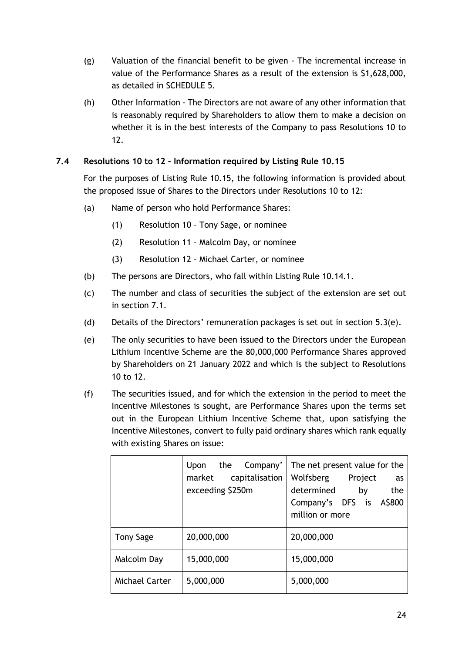- (g) Valuation of the financial benefit to be given The incremental increase in value of the Performance Shares as a result of the extension is \$1,628,000, as detailed in [SCHEDULE 5.](#page-39-0)
- (h) Other Information The Directors are not aware of any other information that is reasonably required by Shareholders to allow them to make a decision on whether it is in the best interests of the Company to pass Resolutions 10 to 12.

# **7.4 Resolutions 10 to 12 – Information required by Listing Rule 10.15**

For the purposes of Listing Rule 10.15, the following information is provided about the proposed issue of Shares to the Directors under Resolutions 10 to 12:

- (a) Name of person who hold Performance Shares:
	- (1) Resolution 10 Tony Sage, or nominee
	- (2) Resolution 11 Malcolm Day, or nominee
	- (3) Resolution 12 Michael Carter, or nominee
- (b) The persons are Directors, who fall within Listing Rule 10.14.1.
- (c) The number and class of securities the subject of the extension are set out in section [7.1.](#page-23-1)
- (d) Details of the Directors' remuneration packages is set out in section [5.3\(e\).](#page-20-0)
- (e) The only securities to have been issued to the Directors under the European Lithium Incentive Scheme are the 80,000,000 Performance Shares approved by Shareholders on 21 January 2022 and which is the subject to Resolutions 10 to 12.
- (f) The securities issued, and for which the extension in the period to meet the Incentive Milestones is sought, are Performance Shares upon the terms set out in the European Lithium Incentive Scheme that, upon satisfying the Incentive Milestones, convert to fully paid ordinary shares which rank equally with existing Shares on issue:

|                | Upon the Company'<br>capitalisation<br>market<br>exceeding \$250m | The net present value for the<br>Wolfsberg Project<br>as<br>the<br>determined<br>by<br>Company's DFS is A\$800<br>million or more |
|----------------|-------------------------------------------------------------------|-----------------------------------------------------------------------------------------------------------------------------------|
| Tony Sage      | 20,000,000                                                        | 20,000,000                                                                                                                        |
| Malcolm Day    | 15,000,000                                                        | 15,000,000                                                                                                                        |
| Michael Carter | 5,000,000                                                         | 5,000,000                                                                                                                         |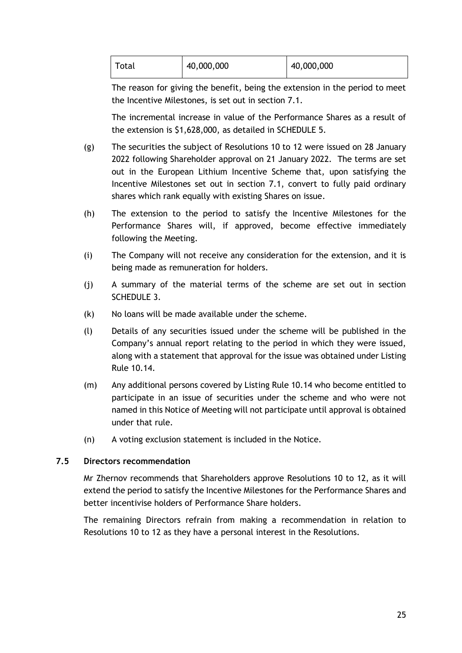| Total | 40,000,000 | 40,000,000 |
|-------|------------|------------|
|-------|------------|------------|

The reason for giving the benefit, being the extension in the period to meet the Incentive Milestones, is set out in section [7.1.](#page-23-1)

The incremental increase in value of the Performance Shares as a result of the extension is \$1,628,000, as detailed in [SCHEDULE 5.](#page-39-0)

- (g) The securities the subject of Resolutions 10 to 12 were issued on 28 January 2022 following Shareholder approval on 21 January 2022. The terms are set out in the European Lithium Incentive Scheme that, upon satisfying the Incentive Milestones set out in section [7.1,](#page-23-1) convert to fully paid ordinary shares which rank equally with existing Shares on issue.
- (h) The extension to the period to satisfy the Incentive Milestones for the Performance Shares will, if approved, become effective immediately following the Meeting.
- (i) The Company will not receive any consideration for the extension, and it is being made as remuneration for holders.
- (j) A summary of the material terms of the scheme are set out in section [SCHEDULE 3.](#page-33-0)
- (k) No loans will be made available under the scheme.
- (l) Details of any securities issued under the scheme will be published in the Company's annual report relating to the period in which they were issued, along with a statement that approval for the issue was obtained under Listing Rule 10.14.
- (m) Any additional persons covered by Listing Rule 10.14 who become entitled to participate in an issue of securities under the scheme and who were not named in this Notice of Meeting will not participate until approval is obtained under that rule.
- (n) A voting exclusion statement is included in the Notice.

#### **7.5 Directors recommendation**

Mr Zhernov recommends that Shareholders approve Resolutions 10 to 12, as it will extend the period to satisfy the Incentive Milestones for the Performance Shares and better incentivise holders of Performance Share holders.

The remaining Directors refrain from making a recommendation in relation to Resolutions 10 to 12 as they have a personal interest in the Resolutions.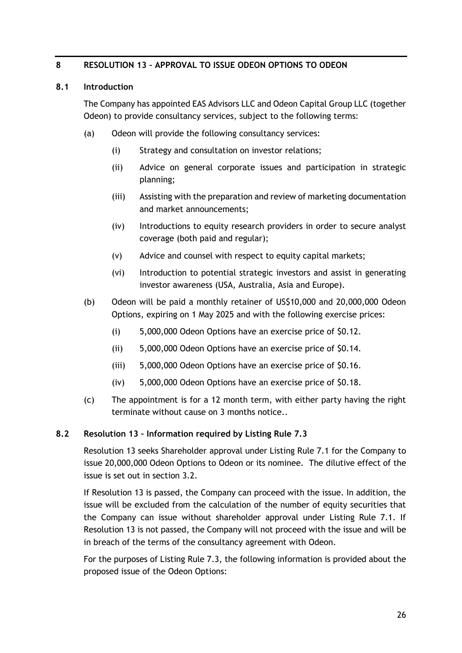#### <span id="page-27-0"></span>**8 RESOLUTION 13 – APPROVAL TO ISSUE ODEON OPTIONS TO ODEON**

#### <span id="page-27-1"></span>**8.1 Introduction**

The Company has appointed EAS Advisors LLC and Odeon Capital Group LLC (together Odeon) to provide consultancy services, subject to the following terms:

- (a) Odeon will provide the following consultancy services:
	- (i) Strategy and consultation on investor relations;
	- (ii) Advice on general corporate issues and participation in strategic planning;
	- (iii) Assisting with the preparation and review of marketing documentation and market announcements;
	- (iv) Introductions to equity research providers in order to secure analyst coverage (both paid and regular);
	- (v) Advice and counsel with respect to equity capital markets;
	- (vi) Introduction to potential strategic investors and assist in generating investor awareness (USA, Australia, Asia and Europe).
- (b) Odeon will be paid a monthly retainer of US\$10,000 and 20,000,000 Odeon Options, expiring on 1 May 2025 and with the following exercise prices:
	- (i) 5,000,000 Odeon Options have an exercise price of \$0.12.
	- (ii) 5,000,000 Odeon Options have an exercise price of \$0.14.
	- (iii) 5,000,000 Odeon Options have an exercise price of \$0.16.
	- (iv) 5,000,000 Odeon Options have an exercise price of \$0.18.
- (c) The appointment is for a 12 month term, with either party having the right terminate without cause on 3 months notice..

#### **8.2 Resolution 13 – Information required by Listing Rule 7.3**

Resolution 13 seeks Shareholder approval under Listing Rule 7.1 for the Company to issue 20,000,000 Odeon Options to Odeon or its nominee. The dilutive effect of the issue is set out in section [3.2.](#page-13-0)

If Resolution 13 is passed, the Company can proceed with the issue. In addition, the issue will be excluded from the calculation of the number of equity securities that the Company can issue without shareholder approval under Listing Rule 7.1. If Resolution 13 is not passed, the Company will not proceed with the issue and will be in breach of the terms of the consultancy agreement with Odeon.

For the purposes of Listing Rule 7.3, the following information is provided about the proposed issue of the Odeon Options: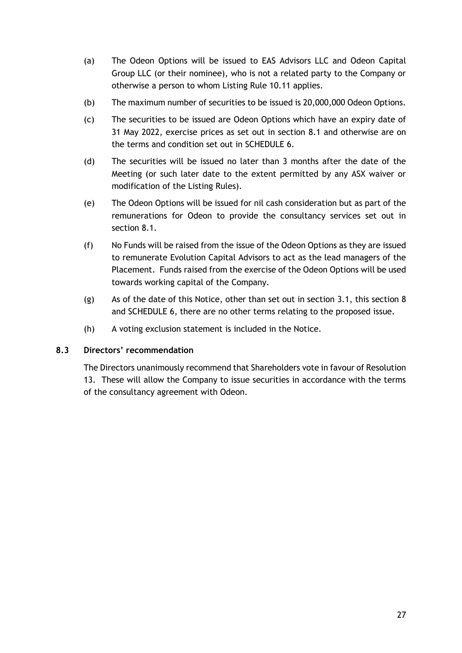- (a) The Odeon Options will be issued to EAS Advisors LLC and Odeon Capital Group LLC (or their nominee), who is not a related party to the Company or otherwise a person to whom Listing Rule 10.11 applies.
- (b) The maximum number of securities to be issued is 20,000,000 Odeon Options.
- (c) The securities to be issued are Odeon Options which have an expiry date of 31 May 2022, exercise prices as set out in section [8.1](#page-27-1) and otherwise are on the terms and condition set out in [SCHEDULE 6.](#page-52-0)
- (d) The securities will be issued no later than 3 months after the date of the Meeting (or such later date to the extent permitted by any ASX waiver or modification of the Listing Rules).
- (e) The Odeon Options will be issued for nil cash consideration but as part of the remunerations for Odeon to provide the consultancy services set out in section [8.1.](#page-27-1)
- (f) No Funds will be raised from the issue of the Odeon Options as they are issued to remunerate Evolution Capital Advisors to act as the lead managers of the Placement. Funds raised from the exercise of the Odeon Options will be used towards working capital of the Company.
- (g) As of the date of this Notice, other than set out in section [3.1,](#page-12-2) this section [8](#page-27-0) and [SCHEDULE 6,](#page-52-0) there are no other terms relating to the proposed issue.
- (h) A voting exclusion statement is included in the Notice.

#### **8.3 Directors' recommendation**

The Directors unanimously recommend that Shareholders vote in favour of Resolution 13. These will allow the Company to issue securities in accordance with the terms of the consultancy agreement with Odeon.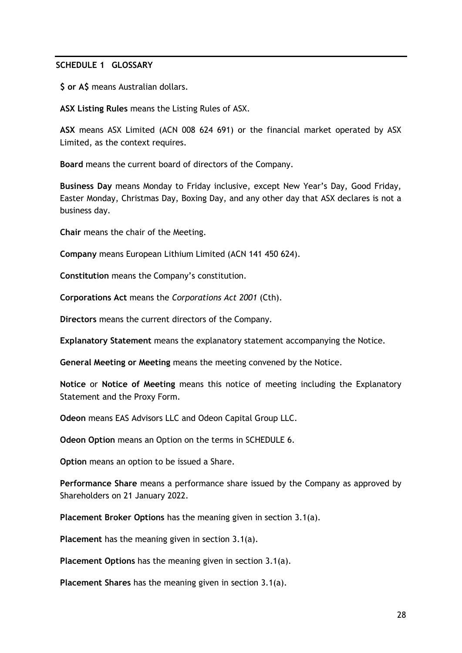#### **SCHEDULE 1 GLOSSARY**

**\$ or A\$** means Australian dollars.

**ASX Listing Rules** means the Listing Rules of ASX.

**ASX** means ASX Limited (ACN 008 624 691) or the financial market operated by ASX Limited, as the context requires.

**Board** means the current board of directors of the Company.

**Business Day** means Monday to Friday inclusive, except New Year's Day, Good Friday, Easter Monday, Christmas Day, Boxing Day, and any other day that ASX declares is not a business day.

**Chair** means the chair of the Meeting.

**Company** means European Lithium Limited (ACN 141 450 624).

**Constitution** means the Company's constitution.

**Corporations Act** means the *Corporations Act 2001* (Cth).

**Directors** means the current directors of the Company.

**Explanatory Statement** means the explanatory statement accompanying the Notice.

**General Meeting or Meeting** means the meeting convened by the Notice.

**Notice** or **Notice of Meeting** means this notice of meeting including the Explanatory Statement and the Proxy Form.

**Odeon** means EAS Advisors LLC and Odeon Capital Group LLC.

**Odeon Option** means an Option on the terms in [SCHEDULE 6.](#page-52-0)

**Option** means an option to be issued a Share.

**Performance Share** means a performance share issued by the Company as approved by Shareholders on 21 January 2022.

**Placement Broker Options** has the meaning given in section [3.1\(a\).](#page-12-1)

**Placement** has the meaning given in section [3.1\(a\).](#page-12-1)

**Placement Options** has the meaning given in section [3.1\(a\).](#page-12-1)

**Placement Shares** has the meaning given in section [3.1\(a\).](#page-12-1)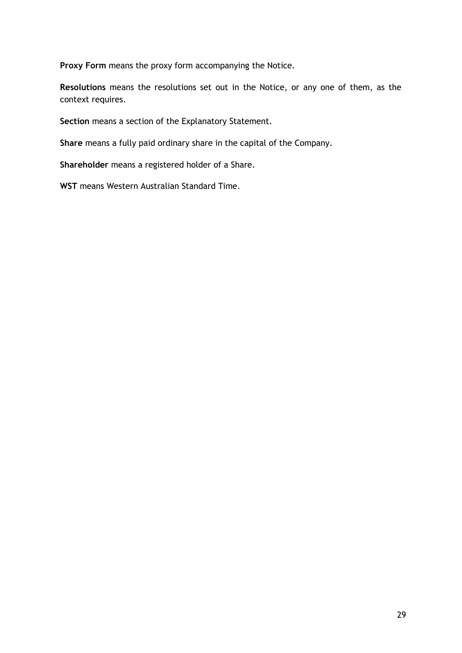**Proxy Form** means the proxy form accompanying the Notice.

**Resolutions** means the resolutions set out in the Notice, or any one of them, as the context requires.

**Section** means a section of the Explanatory Statement.

**Share** means a fully paid ordinary share in the capital of the Company.

**Shareholder** means a registered holder of a Share.

**WST** means Western Australian Standard Time.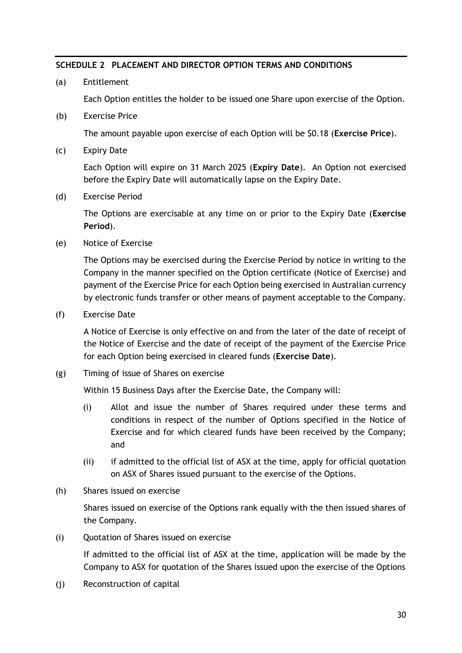#### <span id="page-31-0"></span>**SCHEDULE 2 PLACEMENT AND DIRECTOR OPTION TERMS AND CONDITIONS**

(a) Entitlement

Each Option entitles the holder to be issued one Share upon exercise of the Option.

(b) Exercise Price

The amount payable upon exercise of each Option will be \$0.18 (**Exercise Price**).

(c) Expiry Date

Each Option will expire on 31 March 2025 (**Expiry Date**). An Option not exercised before the Expiry Date will automatically lapse on the Expiry Date.

(d) Exercise Period

The Options are exercisable at any time on or prior to the Expiry Date (**Exercise Period**).

(e) Notice of Exercise

The Options may be exercised during the Exercise Period by notice in writing to the Company in the manner specified on the Option certificate (Notice of Exercise) and payment of the Exercise Price for each Option being exercised in Australian currency by electronic funds transfer or other means of payment acceptable to the Company.

(f) Exercise Date

A Notice of Exercise is only effective on and from the later of the date of receipt of the Notice of Exercise and the date of receipt of the payment of the Exercise Price for each Option being exercised in cleared funds (**Exercise Date**).

(g) Timing of issue of Shares on exercise

Within 15 Business Days after the Exercise Date, the Company will:

- (i) Allot and issue the number of Shares required under these terms and conditions in respect of the number of Options specified in the Notice of Exercise and for which cleared funds have been received by the Company; and
- (ii) if admitted to the official list of ASX at the time, apply for official quotation on ASX of Shares issued pursuant to the exercise of the Options.
- (h) Shares issued on exercise

Shares issued on exercise of the Options rank equally with the then issued shares of the Company.

(i) Quotation of Shares issued on exercise

If admitted to the official list of ASX at the time, application will be made by the Company to ASX for quotation of the Shares issued upon the exercise of the Options

(j) Reconstruction of capital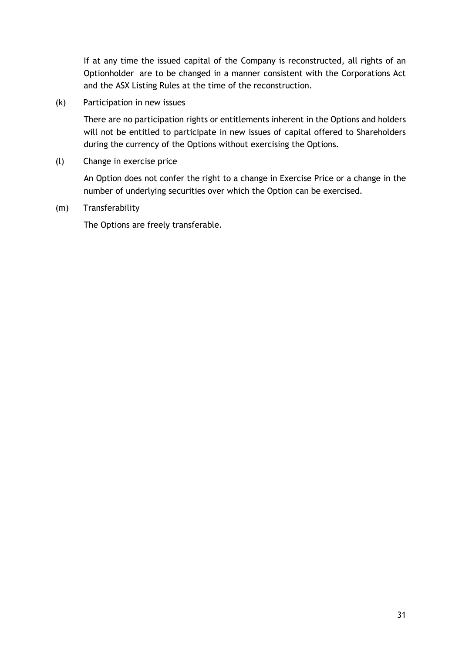If at any time the issued capital of the Company is reconstructed, all rights of an Optionholder are to be changed in a manner consistent with the Corporations Act and the ASX Listing Rules at the time of the reconstruction.

(k) Participation in new issues

There are no participation rights or entitlements inherent in the Options and holders will not be entitled to participate in new issues of capital offered to Shareholders during the currency of the Options without exercising the Options.

(l) Change in exercise price

An Option does not confer the right to a change in Exercise Price or a change in the number of underlying securities over which the Option can be exercised.

(m) Transferability

The Options are freely transferable.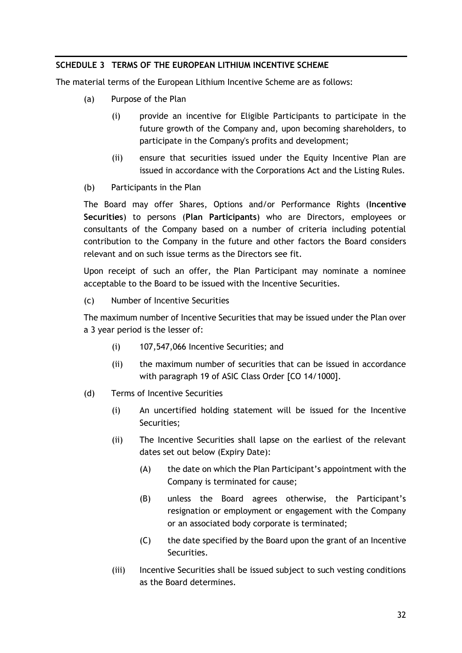### <span id="page-33-0"></span>**SCHEDULE 3 TERMS OF THE EUROPEAN LITHIUM INCENTIVE SCHEME**

The material terms of the European Lithium Incentive Scheme are as follows:

- (a) Purpose of the Plan
	- (i) provide an incentive for Eligible Participants to participate in the future growth of the Company and, upon becoming shareholders, to participate in the Company's profits and development;
	- (ii) ensure that securities issued under the Equity Incentive Plan are issued in accordance with the Corporations Act and the Listing Rules.
- (b) Participants in the Plan

The Board may offer Shares, Options and/or Performance Rights (**Incentive Securities**) to persons (**Plan Participants**) who are Directors, employees or consultants of the Company based on a number of criteria including potential contribution to the Company in the future and other factors the Board considers relevant and on such issue terms as the Directors see fit.

Upon receipt of such an offer, the Plan Participant may nominate a nominee acceptable to the Board to be issued with the Incentive Securities.

(c) Number of Incentive Securities

The maximum number of Incentive Securities that may be issued under the Plan over a 3 year period is the lesser of:

- (i) 107,547,066 Incentive Securities; and
- (ii) the maximum number of securities that can be issued in accordance with paragraph 19 of ASIC Class Order [CO 14/1000].
- (d) Terms of Incentive Securities
	- (i) An uncertified holding statement will be issued for the Incentive Securities;
	- (ii) The Incentive Securities shall lapse on the earliest of the relevant dates set out below (Expiry Date):
		- (A) the date on which the Plan Participant's appointment with the Company is terminated for cause;
		- (B) unless the Board agrees otherwise, the Participant's resignation or employment or engagement with the Company or an associated body corporate is terminated;
		- (C) the date specified by the Board upon the grant of an Incentive Securities.
	- (iii) Incentive Securities shall be issued subject to such vesting conditions as the Board determines.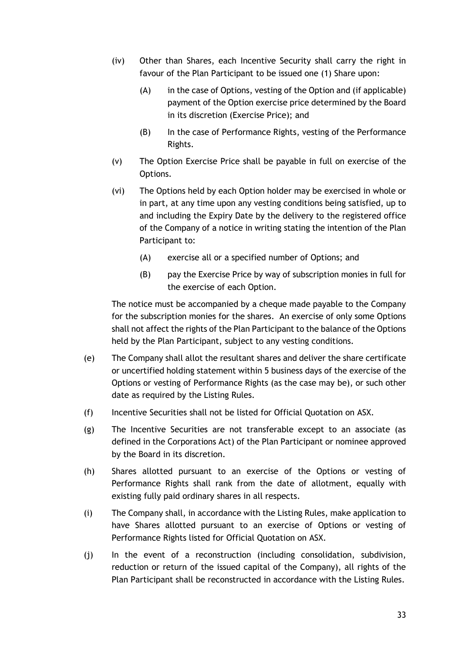- (iv) Other than Shares, each Incentive Security shall carry the right in favour of the Plan Participant to be issued one (1) Share upon:
	- (A) in the case of Options, vesting of the Option and (if applicable) payment of the Option exercise price determined by the Board in its discretion (Exercise Price); and
	- (B) In the case of Performance Rights, vesting of the Performance Rights.
- (v) The Option Exercise Price shall be payable in full on exercise of the Options.
- (vi) The Options held by each Option holder may be exercised in whole or in part, at any time upon any vesting conditions being satisfied, up to and including the Expiry Date by the delivery to the registered office of the Company of a notice in writing stating the intention of the Plan Participant to:
	- (A) exercise all or a specified number of Options; and
	- (B) pay the Exercise Price by way of subscription monies in full for the exercise of each Option.

The notice must be accompanied by a cheque made payable to the Company for the subscription monies for the shares. An exercise of only some Options shall not affect the rights of the Plan Participant to the balance of the Options held by the Plan Participant, subject to any vesting conditions.

- (e) The Company shall allot the resultant shares and deliver the share certificate or uncertified holding statement within 5 business days of the exercise of the Options or vesting of Performance Rights (as the case may be), or such other date as required by the Listing Rules.
- (f) Incentive Securities shall not be listed for Official Quotation on ASX.
- (g) The Incentive Securities are not transferable except to an associate (as defined in the Corporations Act) of the Plan Participant or nominee approved by the Board in its discretion.
- (h) Shares allotted pursuant to an exercise of the Options or vesting of Performance Rights shall rank from the date of allotment, equally with existing fully paid ordinary shares in all respects.
- (i) The Company shall, in accordance with the Listing Rules, make application to have Shares allotted pursuant to an exercise of Options or vesting of Performance Rights listed for Official Quotation on ASX.
- (j) In the event of a reconstruction (including consolidation, subdivision, reduction or return of the issued capital of the Company), all rights of the Plan Participant shall be reconstructed in accordance with the Listing Rules.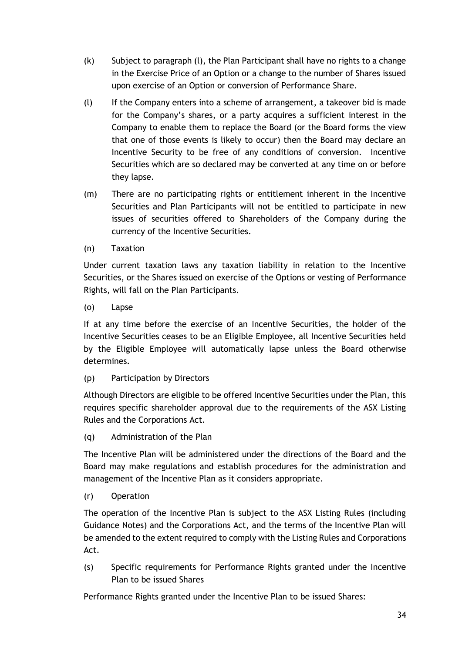- (k) Subject to paragraph (l), the Plan Participant shall have no rights to a change in the Exercise Price of an Option or a change to the number of Shares issued upon exercise of an Option or conversion of Performance Share.
- (l) If the Company enters into a scheme of arrangement, a takeover bid is made for the Company's shares, or a party acquires a sufficient interest in the Company to enable them to replace the Board (or the Board forms the view that one of those events is likely to occur) then the Board may declare an Incentive Security to be free of any conditions of conversion. Incentive Securities which are so declared may be converted at any time on or before they lapse.
- (m) There are no participating rights or entitlement inherent in the Incentive Securities and Plan Participants will not be entitled to participate in new issues of securities offered to Shareholders of the Company during the currency of the Incentive Securities.
- (n) Taxation

Under current taxation laws any taxation liability in relation to the Incentive Securities, or the Shares issued on exercise of the Options or vesting of Performance Rights, will fall on the Plan Participants.

(o) Lapse

If at any time before the exercise of an Incentive Securities, the holder of the Incentive Securities ceases to be an Eligible Employee, all Incentive Securities held by the Eligible Employee will automatically lapse unless the Board otherwise determines.

(p) Participation by Directors

Although Directors are eligible to be offered Incentive Securities under the Plan, this requires specific shareholder approval due to the requirements of the ASX Listing Rules and the Corporations Act.

(q) Administration of the Plan

The Incentive Plan will be administered under the directions of the Board and the Board may make regulations and establish procedures for the administration and management of the Incentive Plan as it considers appropriate.

(r) Operation

The operation of the Incentive Plan is subject to the ASX Listing Rules (including Guidance Notes) and the Corporations Act, and the terms of the Incentive Plan will be amended to the extent required to comply with the Listing Rules and Corporations Act.

(s) Specific requirements for Performance Rights granted under the Incentive Plan to be issued Shares

Performance Rights granted under the Incentive Plan to be issued Shares: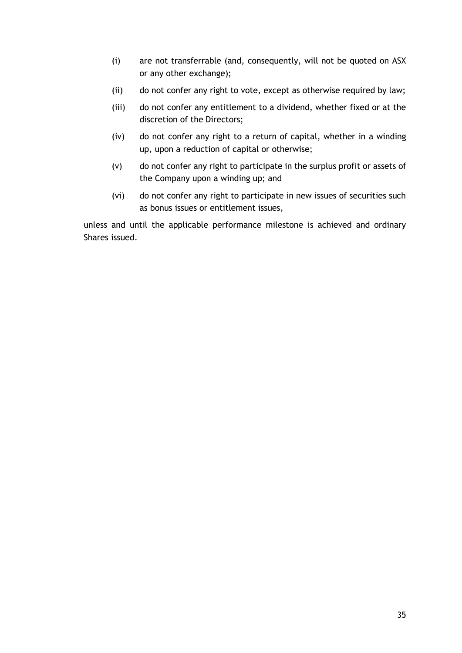- (i) are not transferrable (and, consequently, will not be quoted on ASX or any other exchange);
- (ii) do not confer any right to vote, except as otherwise required by law;
- (iii) do not confer any entitlement to a dividend, whether fixed or at the discretion of the Directors;
- (iv) do not confer any right to a return of capital, whether in a winding up, upon a reduction of capital or otherwise;
- (v) do not confer any right to participate in the surplus profit or assets of the Company upon a winding up; and
- (vi) do not confer any right to participate in new issues of securities such as bonus issues or entitlement issues,

unless and until the applicable performance milestone is achieved and ordinary Shares issued.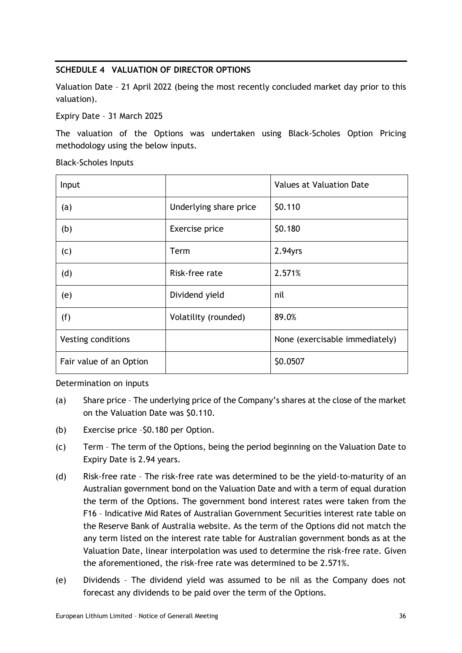# <span id="page-37-0"></span>**SCHEDULE 4 VALUATION OF DIRECTOR OPTIONS**

Valuation Date – 21 April 2022 (being the most recently concluded market day prior to this valuation).

Expiry Date – 31 March 2025

The valuation of the Options was undertaken using Black-Scholes Option Pricing methodology using the below inputs.

Black-Scholes Inputs

| Input                   |                        | Values at Valuation Date       |
|-------------------------|------------------------|--------------------------------|
| (a)                     | Underlying share price | \$0.110                        |
| (b)                     | Exercise price         | \$0.180                        |
| (c)                     | Term                   | $2.94$ yrs                     |
| (d)                     | Risk-free rate         | 2.571%                         |
| (e)                     | Dividend yield         | nil                            |
| (f)                     | Volatility (rounded)   | 89.0%                          |
| Vesting conditions      |                        | None (exercisable immediately) |
| Fair value of an Option |                        | \$0.0507                       |

Determination on inputs

- (a) Share price The underlying price of the Company's shares at the close of the market on the Valuation Date was \$0.110.
- (b) Exercise price –\$0.180 per Option.
- (c) Term The term of the Options, being the period beginning on the Valuation Date to Expiry Date is 2.94 years.
- (d) Risk-free rate The risk-free rate was determined to be the yield-to-maturity of an Australian government bond on the Valuation Date and with a term of equal duration the term of the Options. The government bond interest rates were taken from the F16 – Indicative Mid Rates of Australian Government Securities interest rate table on the Reserve Bank of Australia website. As the term of the Options did not match the any term listed on the interest rate table for Australian government bonds as at the Valuation Date, linear interpolation was used to determine the risk-free rate. Given the aforementioned, the risk-free rate was determined to be 2.571%.
- (e) Dividends The dividend yield was assumed to be nil as the Company does not forecast any dividends to be paid over the term of the Options.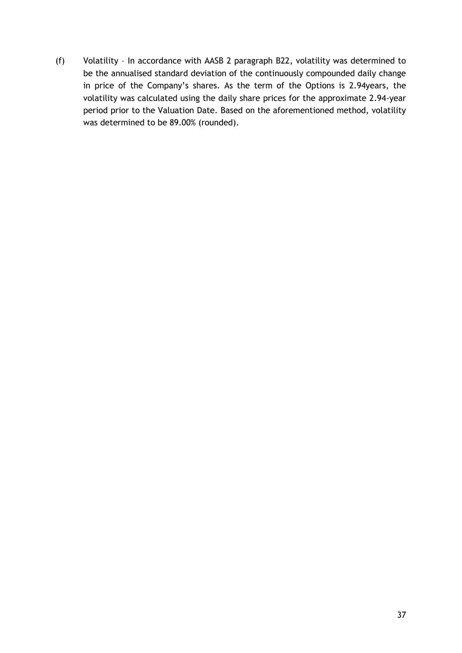(f) Volatility – In accordance with AASB 2 paragraph B22, volatility was determined to be the annualised standard deviation of the continuously compounded daily change in price of the Company's shares. As the term of the Options is 2.94years, the volatility was calculated using the daily share prices for the approximate 2.94-year period prior to the Valuation Date. Based on the aforementioned method, volatility was determined to be 89.00% (rounded).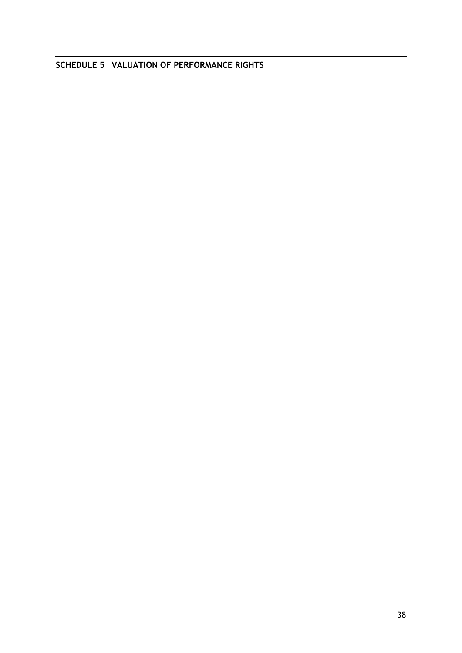<span id="page-39-0"></span>**SCHEDULE 5 VALUATION OF PERFORMANCE RIGHTS**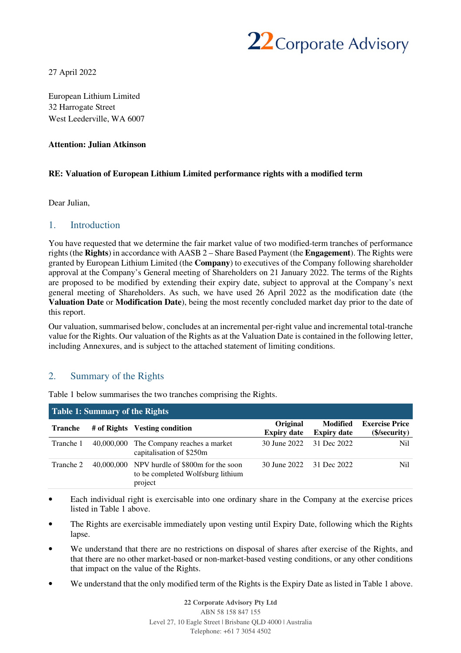

27 April 2022

European Lithium Limited 32 Harrogate Street West Leederville, WA 6007

#### **Attention: Julian Atkinson**

#### **RE: Valuation of European Lithium Limited performance rights with a modified term**

Dear Julian,

#### 1. Introduction

You have requested that we determine the fair market value of two modified-term tranches of performance rights (the **Rights**) in accordance with AASB 2 – Share Based Payment (the **Engagement**). The Rights were granted by European Lithium Limited (the **Company**) to executives of the Company following shareholder approval at the Company's General meeting of Shareholders on 21 January 2022. The terms of the Rights are proposed to be modified by extending their expiry date, subject to approval at the Company's next general meeting of Shareholders. As such, we have used 26 April 2022 as the modification date (the **Valuation Date** or **Modification Date**), being the most recently concluded market day prior to the date of this report.

Our valuation, summarised below, concludes at an incremental per-right value and incremental total-tranche value for the Rights. Our valuation of the Rights as at the Valuation Date is contained in the following letter, including Annexures, and is subject to the attached statement of limiting conditions.

#### 2. Summary of the Rights

| Table 1: Summary of the Rights |            |                                                                                              |                                |                                       |                                      |  |  |  |  |
|--------------------------------|------------|----------------------------------------------------------------------------------------------|--------------------------------|---------------------------------------|--------------------------------------|--|--|--|--|
| <b>Tranche</b>                 |            | # of Rights Vesting condition                                                                | Original<br><b>Expiry date</b> | <b>Modified</b><br><b>Expiry date</b> | <b>Exercise Price</b><br>(\security) |  |  |  |  |
| Tranche 1                      | 40,000,000 | The Company reaches a market<br>capitalisation of \$250m                                     | 30 June 2022                   | 31 Dec 2022                           | Nil.                                 |  |  |  |  |
| Tranche 2                      |            | 40,000,000 NPV hurdle of \$800m for the soon<br>to be completed Wolfsburg lithium<br>project | 30 June 2022                   | 31 Dec 2022                           | Nil.                                 |  |  |  |  |

Table 1 below summarises the two tranches comprising the Rights.

- Each individual right is exercisable into one ordinary share in the Company at the exercise prices listed in Table 1 above.
- The Rights are exercisable immediately upon vesting until Expiry Date, following which the Rights lapse.
- We understand that there are no restrictions on disposal of shares after exercise of the Rights, and that there are no other market-based or non-market-based vesting conditions, or any other conditions that impact on the value of the Rights.
- We understand that the only modified term of the Rights is the Expiry Date as listed in Table 1 above.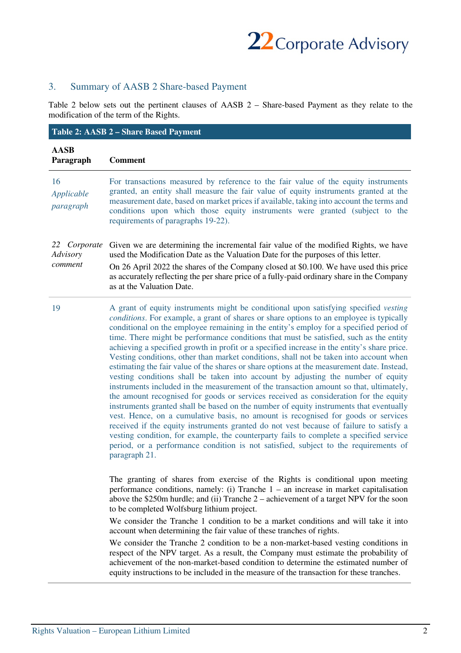

# 3. Summary of AASB 2 Share-based Payment

Table 2 below sets out the pertinent clauses of AASB 2 – Share-based Payment as they relate to the modification of the term of the Rights.

|                                     | Table 2: AASB 2 - Share Based Payment                                                                                                                                                                                                                                                                                                                                                                                                                                                                                                                                                                                                                                                                                                                                                                                                                                                                                                                                                                                                                                                                                                                                                                                                                                                                                                                                                                       |
|-------------------------------------|-------------------------------------------------------------------------------------------------------------------------------------------------------------------------------------------------------------------------------------------------------------------------------------------------------------------------------------------------------------------------------------------------------------------------------------------------------------------------------------------------------------------------------------------------------------------------------------------------------------------------------------------------------------------------------------------------------------------------------------------------------------------------------------------------------------------------------------------------------------------------------------------------------------------------------------------------------------------------------------------------------------------------------------------------------------------------------------------------------------------------------------------------------------------------------------------------------------------------------------------------------------------------------------------------------------------------------------------------------------------------------------------------------------|
| <b>AASB</b><br>Paragraph            | <b>Comment</b>                                                                                                                                                                                                                                                                                                                                                                                                                                                                                                                                                                                                                                                                                                                                                                                                                                                                                                                                                                                                                                                                                                                                                                                                                                                                                                                                                                                              |
| 16<br>Applicable<br>paragraph       | For transactions measured by reference to the fair value of the equity instruments<br>granted, an entity shall measure the fair value of equity instruments granted at the<br>measurement date, based on market prices if available, taking into account the terms and<br>conditions upon which those equity instruments were granted (subject to the<br>requirements of paragraphs 19-22).                                                                                                                                                                                                                                                                                                                                                                                                                                                                                                                                                                                                                                                                                                                                                                                                                                                                                                                                                                                                                 |
| 22 Corporate<br>Advisory<br>comment | Given we are determining the incremental fair value of the modified Rights, we have<br>used the Modification Date as the Valuation Date for the purposes of this letter.<br>On 26 April 2022 the shares of the Company closed at \$0.100. We have used this price<br>as accurately reflecting the per share price of a fully-paid ordinary share in the Company<br>as at the Valuation Date.                                                                                                                                                                                                                                                                                                                                                                                                                                                                                                                                                                                                                                                                                                                                                                                                                                                                                                                                                                                                                |
| 19                                  | A grant of equity instruments might be conditional upon satisfying specified vesting<br>conditions. For example, a grant of shares or share options to an employee is typically<br>conditional on the employee remaining in the entity's employ for a specified period of<br>time. There might be performance conditions that must be satisfied, such as the entity<br>achieving a specified growth in profit or a specified increase in the entity's share price.<br>Vesting conditions, other than market conditions, shall not be taken into account when<br>estimating the fair value of the shares or share options at the measurement date. Instead,<br>vesting conditions shall be taken into account by adjusting the number of equity<br>instruments included in the measurement of the transaction amount so that, ultimately,<br>the amount recognised for goods or services received as consideration for the equity<br>instruments granted shall be based on the number of equity instruments that eventually<br>vest. Hence, on a cumulative basis, no amount is recognised for goods or services<br>received if the equity instruments granted do not vest because of failure to satisfy a<br>vesting condition, for example, the counterparty fails to complete a specified service<br>period, or a performance condition is not satisfied, subject to the requirements of<br>paragraph 21. |
|                                     | The granting of shares from exercise of the Rights is conditional upon meeting<br>performance conditions, namely: (i) Tranche $1 -$ an increase in market capitalisation<br>above the \$250m hurdle; and (ii) Tranche $2$ – achievement of a target NPV for the soon<br>to be completed Wolfsburg lithium project.<br>We consider the Tranche 1 condition to be a market conditions and will take it into                                                                                                                                                                                                                                                                                                                                                                                                                                                                                                                                                                                                                                                                                                                                                                                                                                                                                                                                                                                                   |
|                                     | account when determining the fair value of these tranches of rights.<br>We consider the Tranche 2 condition to be a non-market-based vesting conditions in<br>respect of the NPV target. As a result, the Company must estimate the probability of<br>achievement of the non-market-based condition to determine the estimated number of<br>equity instructions to be included in the measure of the transaction for these tranches.                                                                                                                                                                                                                                                                                                                                                                                                                                                                                                                                                                                                                                                                                                                                                                                                                                                                                                                                                                        |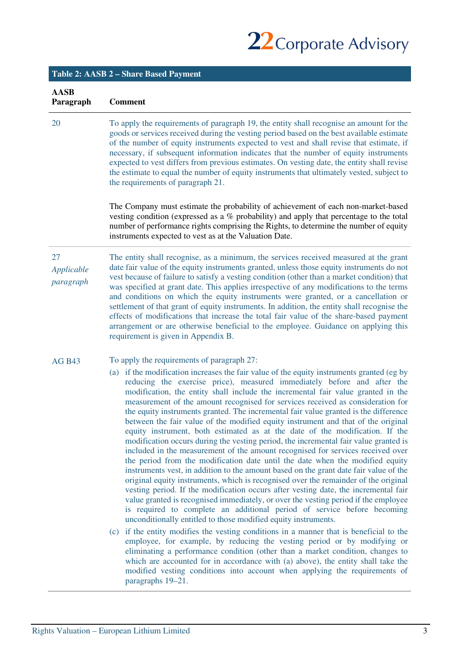22 Corporate Advisory

|                               | Table 2: AASB 2 - Share Based Payment                                                                                                                                                                                                                                                                                                                                                                                                                                                                                                                                                                                                                                                                                                                                                                                                                                                                                                                                                                                                                                                                                                                                                                                                                                                                                                                                                                                                                                                                                                                                                                                                                                                                                                                                                                                                                                         |
|-------------------------------|-------------------------------------------------------------------------------------------------------------------------------------------------------------------------------------------------------------------------------------------------------------------------------------------------------------------------------------------------------------------------------------------------------------------------------------------------------------------------------------------------------------------------------------------------------------------------------------------------------------------------------------------------------------------------------------------------------------------------------------------------------------------------------------------------------------------------------------------------------------------------------------------------------------------------------------------------------------------------------------------------------------------------------------------------------------------------------------------------------------------------------------------------------------------------------------------------------------------------------------------------------------------------------------------------------------------------------------------------------------------------------------------------------------------------------------------------------------------------------------------------------------------------------------------------------------------------------------------------------------------------------------------------------------------------------------------------------------------------------------------------------------------------------------------------------------------------------------------------------------------------------|
| <b>AASB</b><br>Paragraph      | <b>Comment</b>                                                                                                                                                                                                                                                                                                                                                                                                                                                                                                                                                                                                                                                                                                                                                                                                                                                                                                                                                                                                                                                                                                                                                                                                                                                                                                                                                                                                                                                                                                                                                                                                                                                                                                                                                                                                                                                                |
| 20                            | To apply the requirements of paragraph 19, the entity shall recognise an amount for the<br>goods or services received during the vesting period based on the best available estimate<br>of the number of equity instruments expected to vest and shall revise that estimate, if<br>necessary, if subsequent information indicates that the number of equity instruments<br>expected to vest differs from previous estimates. On vesting date, the entity shall revise<br>the estimate to equal the number of equity instruments that ultimately vested, subject to<br>the requirements of paragraph 21.                                                                                                                                                                                                                                                                                                                                                                                                                                                                                                                                                                                                                                                                                                                                                                                                                                                                                                                                                                                                                                                                                                                                                                                                                                                                       |
|                               | The Company must estimate the probability of achievement of each non-market-based<br>vesting condition (expressed as a $%$ probability) and apply that percentage to the total<br>number of performance rights comprising the Rights, to determine the number of equity<br>instruments expected to vest as at the Valuation Date.                                                                                                                                                                                                                                                                                                                                                                                                                                                                                                                                                                                                                                                                                                                                                                                                                                                                                                                                                                                                                                                                                                                                                                                                                                                                                                                                                                                                                                                                                                                                             |
| 27<br>Applicable<br>paragraph | The entity shall recognise, as a minimum, the services received measured at the grant<br>date fair value of the equity instruments granted, unless those equity instruments do not<br>vest because of failure to satisfy a vesting condition (other than a market condition) that<br>was specified at grant date. This applies irrespective of any modifications to the terms<br>and conditions on which the equity instruments were granted, or a cancellation or<br>settlement of that grant of equity instruments. In addition, the entity shall recognise the<br>effects of modifications that increase the total fair value of the share-based payment<br>arrangement or are otherwise beneficial to the employee. Guidance on applying this<br>requirement is given in Appendix B.                                                                                                                                                                                                                                                                                                                                                                                                                                                                                                                                                                                                                                                                                                                                                                                                                                                                                                                                                                                                                                                                                      |
| <b>AG B43</b>                 | To apply the requirements of paragraph 27:<br>(a) if the modification increases the fair value of the equity instruments granted (eg by<br>reducing the exercise price), measured immediately before and after the<br>modification, the entity shall include the incremental fair value granted in the<br>measurement of the amount recognised for services received as consideration for<br>the equity instruments granted. The incremental fair value granted is the difference<br>between the fair value of the modified equity instrument and that of the original<br>equity instrument, both estimated as at the date of the modification. If the<br>modification occurs during the vesting period, the incremental fair value granted is<br>included in the measurement of the amount recognised for services received over<br>the period from the modification date until the date when the modified equity<br>instruments vest, in addition to the amount based on the grant date fair value of the<br>original equity instruments, which is recognised over the remainder of the original<br>vesting period. If the modification occurs after vesting date, the incremental fair<br>value granted is recognised immediately, or over the vesting period if the employee<br>is required to complete an additional period of service before becoming<br>unconditionally entitled to those modified equity instruments.<br>(c) if the entity modifies the vesting conditions in a manner that is beneficial to the<br>employee, for example, by reducing the vesting period or by modifying or<br>eliminating a performance condition (other than a market condition, changes to<br>which are accounted for in accordance with (a) above), the entity shall take the<br>modified vesting conditions into account when applying the requirements of<br>paragraphs 19-21. |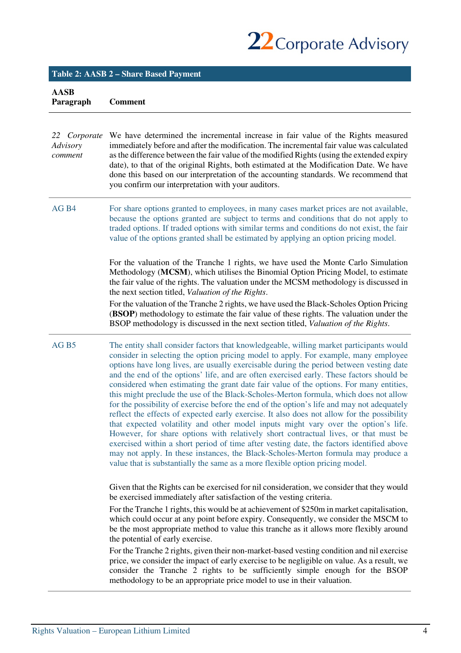

# **Table 2: AASB 2 – Share Based Payment**

**AASB Paragraph Comment** 

| 22 Corporate<br>Advisory<br>comment | We have determined the incremental increase in fair value of the Rights measured<br>immediately before and after the modification. The incremental fair value was calculated<br>as the difference between the fair value of the modified Rights (using the extended expiry<br>date), to that of the original Rights, both estimated at the Modification Date. We have<br>done this based on our interpretation of the accounting standards. We recommend that<br>you confirm our interpretation with your auditors.                                                                                                                                                                                                                                                                                                                                                                                                                                                                                                                                                                                                                                                                                  |
|-------------------------------------|------------------------------------------------------------------------------------------------------------------------------------------------------------------------------------------------------------------------------------------------------------------------------------------------------------------------------------------------------------------------------------------------------------------------------------------------------------------------------------------------------------------------------------------------------------------------------------------------------------------------------------------------------------------------------------------------------------------------------------------------------------------------------------------------------------------------------------------------------------------------------------------------------------------------------------------------------------------------------------------------------------------------------------------------------------------------------------------------------------------------------------------------------------------------------------------------------|
| AG <sub>B4</sub>                    | For share options granted to employees, in many cases market prices are not available,<br>because the options granted are subject to terms and conditions that do not apply to<br>traded options. If traded options with similar terms and conditions do not exist, the fair<br>value of the options granted shall be estimated by applying an option pricing model.                                                                                                                                                                                                                                                                                                                                                                                                                                                                                                                                                                                                                                                                                                                                                                                                                                 |
|                                     | For the valuation of the Tranche 1 rights, we have used the Monte Carlo Simulation<br>Methodology (MCSM), which utilises the Binomial Option Pricing Model, to estimate<br>the fair value of the rights. The valuation under the MCSM methodology is discussed in<br>the next section titled, Valuation of the Rights.                                                                                                                                                                                                                                                                                                                                                                                                                                                                                                                                                                                                                                                                                                                                                                                                                                                                               |
|                                     | For the valuation of the Tranche 2 rights, we have used the Black-Scholes Option Pricing<br><b>(BSOP)</b> methodology to estimate the fair value of these rights. The valuation under the<br>BSOP methodology is discussed in the next section titled, Valuation of the Rights.                                                                                                                                                                                                                                                                                                                                                                                                                                                                                                                                                                                                                                                                                                                                                                                                                                                                                                                      |
| AG <sub>B5</sub>                    | The entity shall consider factors that knowledgeable, willing market participants would<br>consider in selecting the option pricing model to apply. For example, many employee<br>options have long lives, are usually exercisable during the period between vesting date<br>and the end of the options' life, and are often exercised early. These factors should be<br>considered when estimating the grant date fair value of the options. For many entities,<br>this might preclude the use of the Black-Scholes-Merton formula, which does not allow<br>for the possibility of exercise before the end of the option's life and may not adequately<br>reflect the effects of expected early exercise. It also does not allow for the possibility<br>that expected volatility and other model inputs might vary over the option's life.<br>However, for share options with relatively short contractual lives, or that must be<br>exercised within a short period of time after vesting date, the factors identified above<br>may not apply. In these instances, the Black-Scholes-Merton formula may produce a<br>value that is substantially the same as a more flexible option pricing model. |
|                                     | Given that the Rights can be exercised for nil consideration, we consider that they would<br>be exercised immediately after satisfaction of the vesting criteria.<br>For the Tranche 1 rights, this would be at achievement of \$250m in market capitalisation,<br>which could occur at any point before expiry. Consequently, we consider the MSCM to<br>be the most appropriate method to value this tranche as it allows more flexibly around<br>the potential of early exercise.<br>For the Tranche 2 rights, given their non-market-based vesting condition and nil exercise<br>price, we consider the impact of early exercise to be negligible on value. As a result, we<br>consider the Tranche 2 rights to be sufficiently simple enough for the BSOP<br>methodology to be an appropriate price model to use in their valuation.                                                                                                                                                                                                                                                                                                                                                            |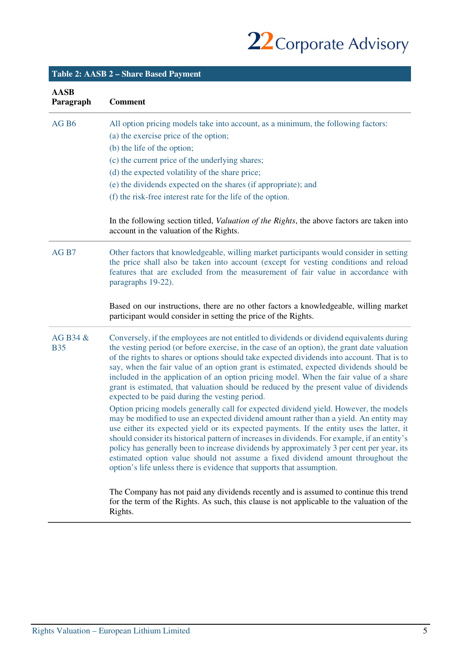22 Corporate Advisory

| <b>AASB</b><br>Paragraph | <b>Comment</b>                                                                                                                                                                                                                                                                                                                                                                                                                                                                                                                                                                                                                        |
|--------------------------|---------------------------------------------------------------------------------------------------------------------------------------------------------------------------------------------------------------------------------------------------------------------------------------------------------------------------------------------------------------------------------------------------------------------------------------------------------------------------------------------------------------------------------------------------------------------------------------------------------------------------------------|
| AG <sub>B6</sub>         | All option pricing models take into account, as a minimum, the following factors:<br>(a) the exercise price of the option;                                                                                                                                                                                                                                                                                                                                                                                                                                                                                                            |
|                          | (b) the life of the option;                                                                                                                                                                                                                                                                                                                                                                                                                                                                                                                                                                                                           |
|                          | (c) the current price of the underlying shares;                                                                                                                                                                                                                                                                                                                                                                                                                                                                                                                                                                                       |
|                          | (d) the expected volatility of the share price;                                                                                                                                                                                                                                                                                                                                                                                                                                                                                                                                                                                       |
|                          | (e) the dividends expected on the shares (if appropriate); and                                                                                                                                                                                                                                                                                                                                                                                                                                                                                                                                                                        |
|                          | (f) the risk-free interest rate for the life of the option.                                                                                                                                                                                                                                                                                                                                                                                                                                                                                                                                                                           |
|                          | In the following section titled, <i>Valuation of the Rights</i> , the above factors are taken into<br>account in the valuation of the Rights.                                                                                                                                                                                                                                                                                                                                                                                                                                                                                         |
| AG <sub>B7</sub>         | Other factors that knowledgeable, willing market participants would consider in setting<br>the price shall also be taken into account (except for vesting conditions and reload<br>features that are excluded from the measurement of fair value in accordance with<br>paragraphs 19-22).                                                                                                                                                                                                                                                                                                                                             |
|                          | Based on our instructions, there are no other factors a knowledgeable, willing market<br>participant would consider in setting the price of the Rights.                                                                                                                                                                                                                                                                                                                                                                                                                                                                               |
| AG B34 &<br><b>B35</b>   | Conversely, if the employees are not entitled to dividends or dividend equivalents during<br>the vesting period (or before exercise, in the case of an option), the grant date valuation<br>of the rights to shares or options should take expected dividends into account. That is to<br>say, when the fair value of an option grant is estimated, expected dividends should be<br>included in the application of an option pricing model. When the fair value of a share<br>grant is estimated, that valuation should be reduced by the present value of dividends<br>expected to be paid during the vesting period.                |
|                          | Option pricing models generally call for expected dividend yield. However, the models<br>may be modified to use an expected dividend amount rather than a yield. An entity may<br>use either its expected yield or its expected payments. If the entity uses the latter, it<br>should consider its historical pattern of increases in dividends. For example, if an entity's<br>policy has generally been to increase dividends by approximately 3 per cent per year, its<br>estimated option value should not assume a fixed dividend amount throughout the<br>option's life unless there is evidence that supports that assumption. |
|                          | The Company has not paid any dividends recently and is assumed to continue this trend<br>for the term of the Rights. As such, this clause is not applicable to the valuation of the<br>Rights.                                                                                                                                                                                                                                                                                                                                                                                                                                        |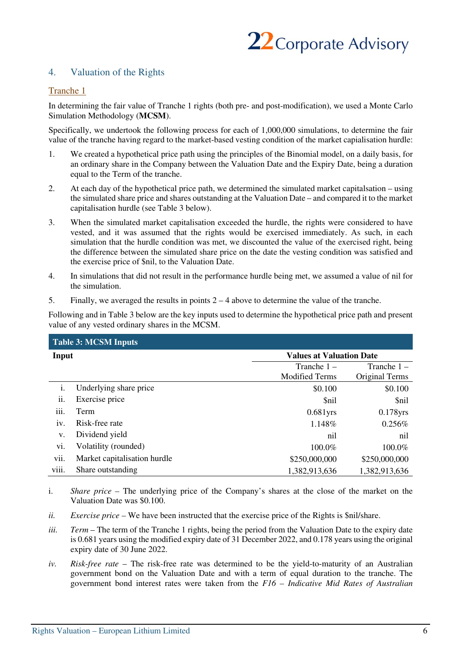

# 4. Valuation of the Rights

#### Tranche 1

In determining the fair value of Tranche 1 rights (both pre- and post-modification), we used a Monte Carlo Simulation Methodology (**MCSM**).

Specifically, we undertook the following process for each of 1,000,000 simulations, to determine the fair value of the tranche having regard to the market-based vesting condition of the market capialisation hurdle:

- 1. We created a hypothetical price path using the principles of the Binomial model, on a daily basis, for an ordinary share in the Company between the Valuation Date and the Expiry Date, being a duration equal to the Term of the tranche.
- 2. At each day of the hypothetical price path, we determined the simulated market capitalsation using the simulated share price and shares outstanding at the Valuation Date – and compared it to the market capitalisation hurdle (see Table 3 below).
- 3. When the simulated market capitalisation exceeded the hurdle, the rights were considered to have vested, and it was assumed that the rights would be exercised immediately. As such, in each simulation that the hurdle condition was met, we discounted the value of the exercised right, being the difference between the simulated share price on the date the vesting condition was satisfied and the exercise price of \$nil, to the Valuation Date.
- 4. In simulations that did not result in the performance hurdle being met, we assumed a value of nil for the simulation.
- 5. Finally, we averaged the results in points 2 4 above to determine the value of the tranche.

Following and in Table 3 below are the key inputs used to determine the hypothetical price path and present value of any vested ordinary shares in the MCSM.

|       | <b>Table 3: MCSM Inputs</b>  |                                 |                |  |  |  |  |  |
|-------|------------------------------|---------------------------------|----------------|--|--|--|--|--|
| Input |                              | <b>Values at Valuation Date</b> |                |  |  |  |  |  |
|       |                              | Tranche $1 -$                   | Tranche $1 -$  |  |  |  |  |  |
|       |                              | <b>Modified Terms</b>           | Original Terms |  |  |  |  |  |
| i.    | Underlying share price       | \$0.100                         | \$0.100        |  |  |  |  |  |
| ii.   | Exercise price               | <i><b>Snil</b></i>              | \$nil          |  |  |  |  |  |
| iii.  | Term                         | $0.681$ yrs                     | $0.178$ yrs    |  |  |  |  |  |
| iv.   | Risk-free rate               | 1.148%                          | 0.256%         |  |  |  |  |  |
| v.    | Dividend yield               | nil                             | nil            |  |  |  |  |  |
| vi.   | Volatility (rounded)         | 100.0%                          | 100.0%         |  |  |  |  |  |
| vii.  | Market capitalisation hurdle | \$250,000,000                   | \$250,000,000  |  |  |  |  |  |
| viii. | Share outstanding            | 1,382,913,636                   | 1,382,913,636  |  |  |  |  |  |

- i. *Share price* The underlying price of the Company's shares at the close of the market on the Valuation Date was \$0.100.
- *ii. Exercise price* We have been instructed that the exercise price of the Rights is \$nil/share.
- *iii. Term* The term of the Tranche 1 rights, being the period from the Valuation Date to the expiry date is 0.681 years using the modified expiry date of 31 December 2022, and 0.178 years using the original expiry date of 30 June 2022.
- *iv. Risk-free rate*  The risk-free rate was determined to be the yield-to-maturity of an Australian government bond on the Valuation Date and with a term of equal duration to the tranche. The government bond interest rates were taken from the *F16 – Indicative Mid Rates of Australian*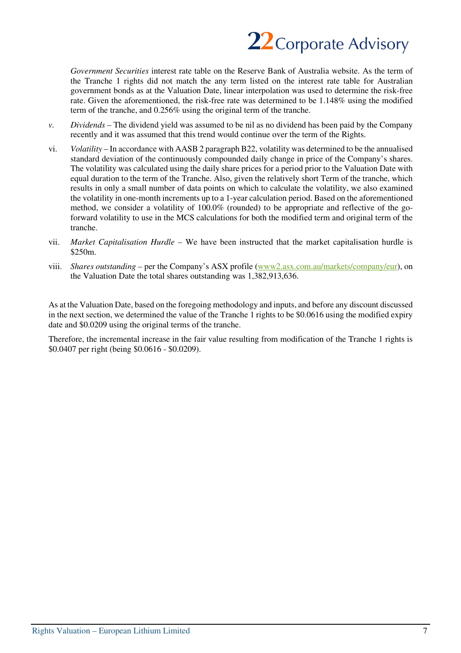

*Government Securities* interest rate table on the Reserve Bank of Australia website. As the term of the Tranche 1 rights did not match the any term listed on the interest rate table for Australian government bonds as at the Valuation Date, linear interpolation was used to determine the risk-free rate. Given the aforementioned, the risk-free rate was determined to be 1.148% using the modified term of the tranche, and 0.256% using the original term of the tranche.

- *v. Dividends* The dividend yield was assumed to be nil as no dividend has been paid by the Company recently and it was assumed that this trend would continue over the term of the Rights.
- vi. *Volatility*  In accordance with AASB 2 paragraph B22, volatility was determined to be the annualised standard deviation of the continuously compounded daily change in price of the Company's shares. The volatility was calculated using the daily share prices for a period prior to the Valuation Date with equal duration to the term of the Tranche. Also, given the relatively short Term of the tranche, which results in only a small number of data points on which to calculate the volatility, we also examined the volatility in one-month increments up to a 1-year calculation period. Based on the aforementioned method, we consider a volatility of 100.0% (rounded) to be appropriate and reflective of the goforward volatility to use in the MCS calculations for both the modified term and original term of the tranche.
- vii. *Market Capitalisation Hurdle* We have been instructed that the market capitalisation hurdle is \$250m.
- viii. *Shares outstanding –* per the Company's ASX profile (www2.asx.com.au/markets/company/eur), on the Valuation Date the total shares outstanding was 1,382,913,636.

As at the Valuation Date, based on the foregoing methodology and inputs, and before any discount discussed in the next section, we determined the value of the Tranche 1 rights to be \$0.0616 using the modified expiry date and \$0.0209 using the original terms of the tranche.

Therefore, the incremental increase in the fair value resulting from modification of the Tranche 1 rights is \$0.0407 per right (being \$0.0616 - \$0.0209).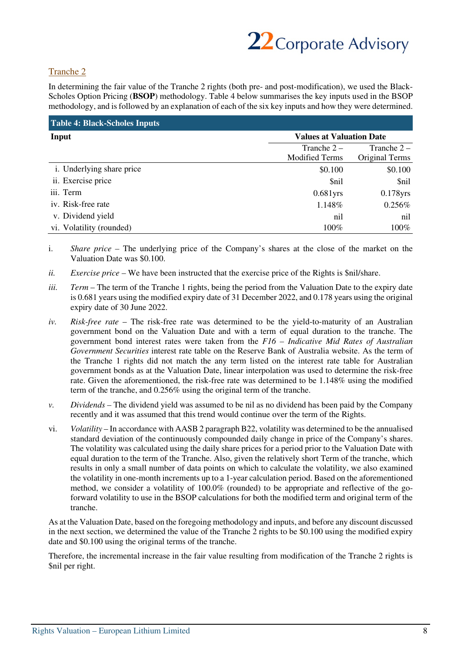

# Tranche 2

In determining the fair value of the Tranche 2 rights (both pre- and post-modification), we used the Black-Scholes Option Pricing (**BSOP**) methodology. Table 4 below summarises the key inputs used in the BSOP methodology, and is followed by an explanation of each of the six key inputs and how they were determined.

| <b>Table 4: Black-Scholes Inputs</b> |                                 |                |  |  |
|--------------------------------------|---------------------------------|----------------|--|--|
| Input                                | <b>Values at Valuation Date</b> |                |  |  |
|                                      | Tranche $2 -$                   | Tranche $2 -$  |  |  |
|                                      | <b>Modified Terms</b>           | Original Terms |  |  |
| <i>i</i> . Underlying share price    | \$0.100                         | \$0.100        |  |  |
| ii. Exercise price                   | \$nil                           | \$nil          |  |  |
| iii. Term                            | $0.681$ yrs                     | $0.178$ yrs    |  |  |
| iv. Risk-free rate                   | 1.148%                          | $0.256\%$      |  |  |
| v. Dividend yield                    | nil                             | nil            |  |  |
| vi. Volatility (rounded)             | 100%                            | 100%           |  |  |

i. *Share price –* The underlying price of the Company's shares at the close of the market on the Valuation Date was \$0.100.

- *ii. Exercise price* We have been instructed that the exercise price of the Rights is \$nil/share.
- *iii. Term* The term of the Tranche 1 rights, being the period from the Valuation Date to the expiry date is 0.681 years using the modified expiry date of 31 December 2022, and 0.178 years using the original expiry date of 30 June 2022.
- *iv. Risk-free rate*  The risk-free rate was determined to be the yield-to-maturity of an Australian government bond on the Valuation Date and with a term of equal duration to the tranche. The government bond interest rates were taken from the *F16 – Indicative Mid Rates of Australian Government Securities* interest rate table on the Reserve Bank of Australia website. As the term of the Tranche 1 rights did not match the any term listed on the interest rate table for Australian government bonds as at the Valuation Date, linear interpolation was used to determine the risk-free rate. Given the aforementioned, the risk-free rate was determined to be 1.148% using the modified term of the tranche, and 0.256% using the original term of the tranche.
- *v. Dividends* The dividend yield was assumed to be nil as no dividend has been paid by the Company recently and it was assumed that this trend would continue over the term of the Rights.
- vi. *Volatility*  In accordance with AASB 2 paragraph B22, volatility was determined to be the annualised standard deviation of the continuously compounded daily change in price of the Company's shares. The volatility was calculated using the daily share prices for a period prior to the Valuation Date with equal duration to the term of the Tranche. Also, given the relatively short Term of the tranche, which results in only a small number of data points on which to calculate the volatility, we also examined the volatility in one-month increments up to a 1-year calculation period. Based on the aforementioned method, we consider a volatility of 100.0% (rounded) to be appropriate and reflective of the goforward volatility to use in the BSOP calculations for both the modified term and original term of the tranche.

As at the Valuation Date, based on the foregoing methodology and inputs, and before any discount discussed in the next section, we determined the value of the Tranche 2 rights to be \$0.100 using the modified expiry date and \$0.100 using the original terms of the tranche.

Therefore, the incremental increase in the fair value resulting from modification of the Tranche 2 rights is \$nil per right.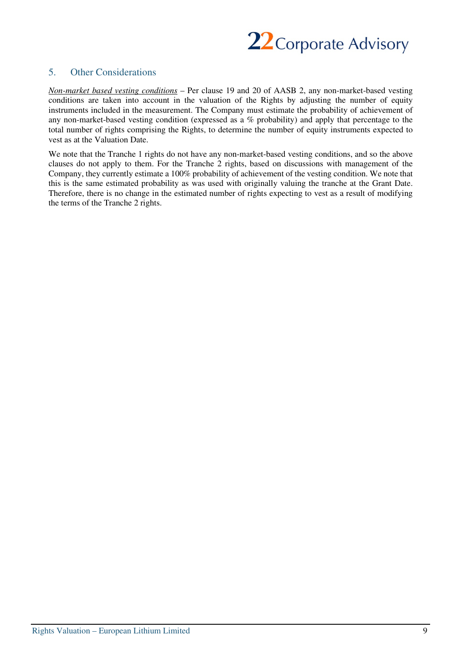

# 5. Other Considerations

*Non-market based vesting conditions* – Per clause 19 and 20 of AASB 2, any non-market-based vesting conditions are taken into account in the valuation of the Rights by adjusting the number of equity instruments included in the measurement. The Company must estimate the probability of achievement of any non-market-based vesting condition (expressed as a % probability) and apply that percentage to the total number of rights comprising the Rights, to determine the number of equity instruments expected to vest as at the Valuation Date.

We note that the Tranche 1 rights do not have any non-market-based vesting conditions, and so the above clauses do not apply to them. For the Tranche 2 rights, based on discussions with management of the Company, they currently estimate a 100% probability of achievement of the vesting condition. We note that this is the same estimated probability as was used with originally valuing the tranche at the Grant Date. Therefore, there is no change in the estimated number of rights expecting to vest as a result of modifying the terms of the Tranche 2 rights.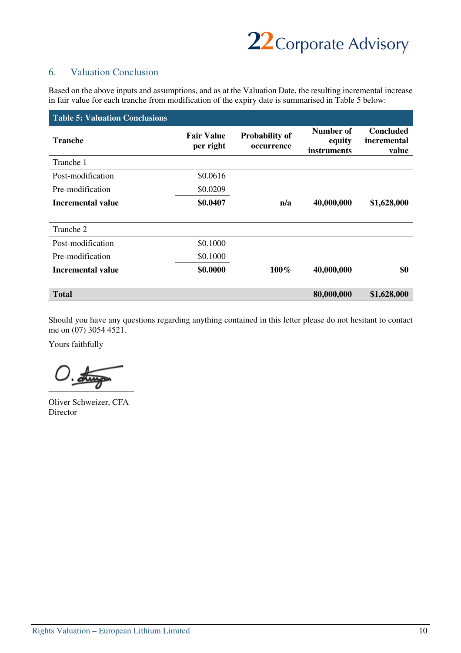

# 6. Valuation Conclusion

Based on the above inputs and assumptions, and as at the Valuation Date, the resulting incremental increase in fair value for each tranche from modification of the expiry date is summarised in Table 5 below:

| <b>Table 5: Valuation Conclusions</b> |                                |                                     |                                    |                                          |
|---------------------------------------|--------------------------------|-------------------------------------|------------------------------------|------------------------------------------|
| <b>Tranche</b>                        | <b>Fair Value</b><br>per right | <b>Probability of</b><br>occurrence | Number of<br>equity<br>instruments | <b>Concluded</b><br>incremental<br>value |
| Tranche 1                             |                                |                                     |                                    |                                          |
| Post-modification                     | \$0.0616                       |                                     |                                    |                                          |
| Pre-modification                      | \$0.0209                       |                                     |                                    |                                          |
| Incremental value                     | \$0.0407                       | n/a                                 | 40,000,000                         | \$1,628,000                              |
| Tranche 2                             |                                |                                     |                                    |                                          |
| Post-modification                     | \$0.1000                       |                                     |                                    |                                          |
| Pre-modification                      | \$0.1000                       |                                     |                                    |                                          |
| <b>Incremental value</b>              | \$0.0000                       | $100\%$                             | 40,000,000                         | \$0                                      |
| <b>Total</b>                          |                                |                                     | 80,000,000                         | \$1,628,000                              |

Should you have any questions regarding anything contained in this letter please do not hesitant to contact me on (07) 3054 4521.

Yours faithfully

 $O.\overline{\text{diag}}$ 

Oliver Schweizer, CFA Director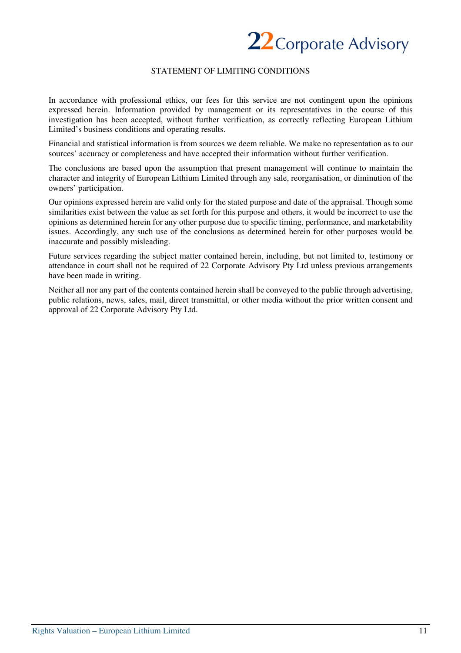

#### STATEMENT OF LIMITING CONDITIONS

In accordance with professional ethics, our fees for this service are not contingent upon the opinions expressed herein. Information provided by management or its representatives in the course of this investigation has been accepted, without further verification, as correctly reflecting European Lithium Limited's business conditions and operating results.

Financial and statistical information is from sources we deem reliable. We make no representation as to our sources' accuracy or completeness and have accepted their information without further verification.

The conclusions are based upon the assumption that present management will continue to maintain the character and integrity of European Lithium Limited through any sale, reorganisation, or diminution of the owners' participation.

Our opinions expressed herein are valid only for the stated purpose and date of the appraisal. Though some similarities exist between the value as set forth for this purpose and others, it would be incorrect to use the opinions as determined herein for any other purpose due to specific timing, performance, and marketability issues. Accordingly, any such use of the conclusions as determined herein for other purposes would be inaccurate and possibly misleading.

Future services regarding the subject matter contained herein, including, but not limited to, testimony or attendance in court shall not be required of 22 Corporate Advisory Pty Ltd unless previous arrangements have been made in writing.

Neither all nor any part of the contents contained herein shall be conveyed to the public through advertising, public relations, news, sales, mail, direct transmittal, or other media without the prior written consent and approval of 22 Corporate Advisory Pty Ltd.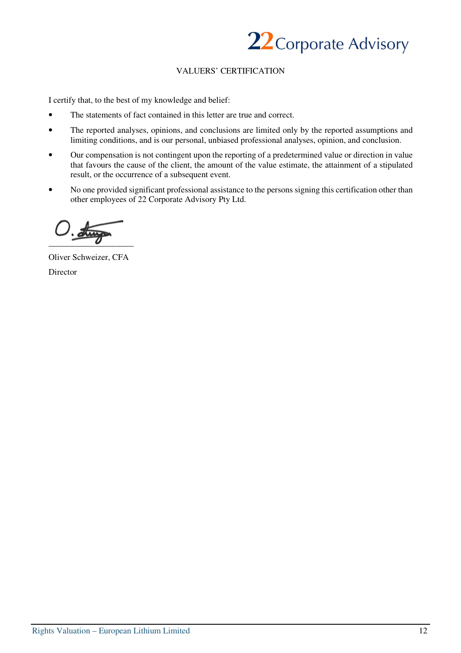

#### VALUERS' CERTIFICATION

I certify that, to the best of my knowledge and belief:

- The statements of fact contained in this letter are true and correct.
- The reported analyses, opinions, and conclusions are limited only by the reported assumptions and limiting conditions, and is our personal, unbiased professional analyses, opinion, and conclusion.
- Our compensation is not contingent upon the reporting of a predetermined value or direction in value that favours the cause of the client, the amount of the value estimate, the attainment of a stipulated result, or the occurrence of a subsequent event.
- No one provided significant professional assistance to the persons signing this certification other than other employees of 22 Corporate Advisory Pty Ltd.

 $\overline{\mathcal{M}}$  $\overline{\phantom{a}}$ 

Oliver Schweizer, CFA Director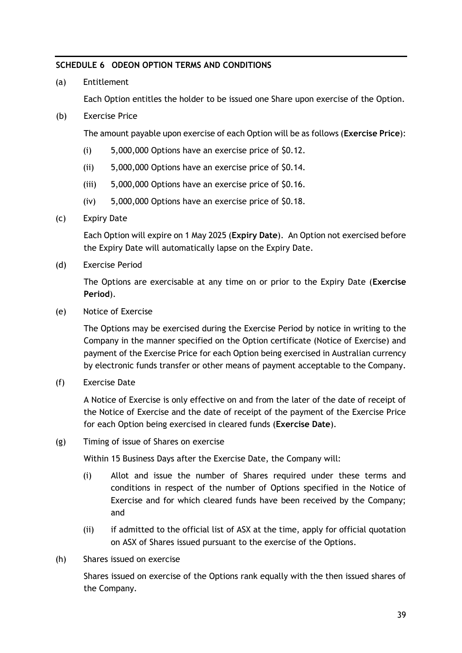#### <span id="page-52-0"></span>**SCHEDULE 6 ODEON OPTION TERMS AND CONDITIONS**

(a) Entitlement

Each Option entitles the holder to be issued one Share upon exercise of the Option.

(b) Exercise Price

The amount payable upon exercise of each Option will be as follows (**Exercise Price**):

- (i) 5,000,000 Options have an exercise price of \$0.12.
- (ii) 5,000,000 Options have an exercise price of \$0.14.
- (iii) 5,000,000 Options have an exercise price of \$0.16.
- (iv) 5,000,000 Options have an exercise price of \$0.18.
- (c) Expiry Date

Each Option will expire on 1 May 2025 (**Expiry Date**). An Option not exercised before the Expiry Date will automatically lapse on the Expiry Date.

(d) Exercise Period

The Options are exercisable at any time on or prior to the Expiry Date (**Exercise Period**).

(e) Notice of Exercise

The Options may be exercised during the Exercise Period by notice in writing to the Company in the manner specified on the Option certificate (Notice of Exercise) and payment of the Exercise Price for each Option being exercised in Australian currency by electronic funds transfer or other means of payment acceptable to the Company.

(f) Exercise Date

A Notice of Exercise is only effective on and from the later of the date of receipt of the Notice of Exercise and the date of receipt of the payment of the Exercise Price for each Option being exercised in cleared funds (**Exercise Date**).

(g) Timing of issue of Shares on exercise

Within 15 Business Days after the Exercise Date, the Company will:

- (i) Allot and issue the number of Shares required under these terms and conditions in respect of the number of Options specified in the Notice of Exercise and for which cleared funds have been received by the Company; and
- (ii) if admitted to the official list of ASX at the time, apply for official quotation on ASX of Shares issued pursuant to the exercise of the Options.
- (h) Shares issued on exercise

Shares issued on exercise of the Options rank equally with the then issued shares of the Company.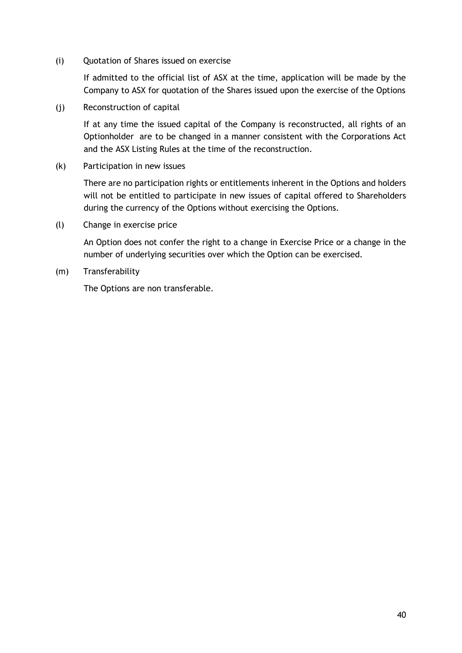(i) Quotation of Shares issued on exercise

If admitted to the official list of ASX at the time, application will be made by the Company to ASX for quotation of the Shares issued upon the exercise of the Options

(j) Reconstruction of capital

If at any time the issued capital of the Company is reconstructed, all rights of an Optionholder are to be changed in a manner consistent with the Corporations Act and the ASX Listing Rules at the time of the reconstruction.

(k) Participation in new issues

There are no participation rights or entitlements inherent in the Options and holders will not be entitled to participate in new issues of capital offered to Shareholders during the currency of the Options without exercising the Options.

(l) Change in exercise price

An Option does not confer the right to a change in Exercise Price or a change in the number of underlying securities over which the Option can be exercised.

(m) Transferability

The Options are non transferable.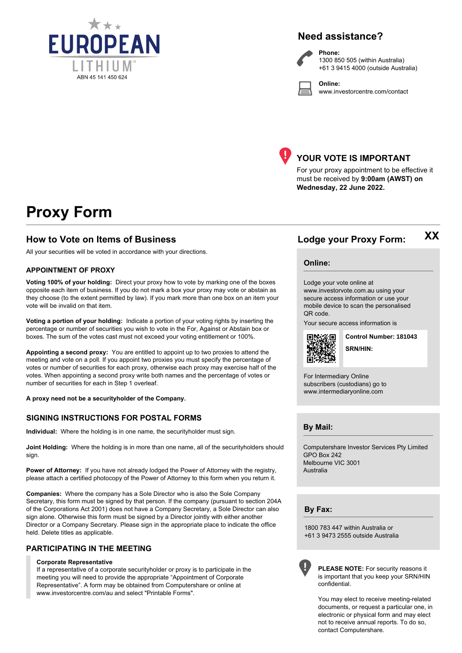

# **Need assistance?**



**Phone:** 1300 850 505 (within Australia) +61 3 9415 4000 (outside Australia)

**Online:** www.investorcentre.com/contact



# **YOUR VOTE IS IMPORTANT**

For your proxy appointment to be effective it must be received by **9:00am (AWST) on Wednesday, 22 June 2022.**

# **Proxy Form**

#### **How to Vote on Items of Business Lodge your Proxy Form:**

All your securities will be voted in accordance with your directions.

#### **APPOINTMENT OF PROXY**

**Voting 100% of your holding:** Direct your proxy how to vote by marking one of the boxes opposite each item of business. If you do not mark a box your proxy may vote or abstain as they choose (to the extent permitted by law). If you mark more than one box on an item your vote will be invalid on that item.

**Voting a portion of your holding:** Indicate a portion of your voting rights by inserting the percentage or number of securities you wish to vote in the For, Against or Abstain box or boxes. The sum of the votes cast must not exceed your voting entitlement or 100%.

**Appointing a second proxy:** You are entitled to appoint up to two proxies to attend the meeting and vote on a poll. If you appoint two proxies you must specify the percentage of votes or number of securities for each proxy, otherwise each proxy may exercise half of the votes. When appointing a second proxy write both names and the percentage of votes or number of securities for each in Step 1 overleaf.

**A proxy need not be a securityholder of the Company.**

#### **SIGNING INSTRUCTIONS FOR POSTAL FORMS**

**Individual:** Where the holding is in one name, the securityholder must sign.

**Joint Holding:** Where the holding is in more than one name, all of the securityholders should sign.

**Power of Attorney:** If you have not already lodged the Power of Attorney with the registry, please attach a certified photocopy of the Power of Attorney to this form when you return it.

**Companies:** Where the company has a Sole Director who is also the Sole Company Secretary, this form must be signed by that person. If the company (pursuant to section 204A of the Corporations Act 2001) does not have a Company Secretary, a Sole Director can also sign alone. Otherwise this form must be signed by a Director jointly with either another Director or a Company Secretary. Please sign in the appropriate place to indicate the office held. Delete titles as applicable.

#### **PARTICIPATING IN THE MEETING**

#### **Corporate Representative**

If a representative of a corporate securityholder or proxy is to participate in the meeting you will need to provide the appropriate "Appointment of Corporate Representative". A form may be obtained from Computershare or online at www.investorcentre.com/au and select "Printable Forms".

**XX**

#### **Online:**

Lodge your vote online at

www.investorvote.com.au using your secure access information or use your mobile device to scan the personalised QR code.

Your secure access information is



**SRN/HIN: Control Number: 181043**

For Intermediary Online subscribers (custodians) go to www.intermediaryonline.com

**By Mail:**

Computershare Investor Services Pty Limited GPO Box 242 Melbourne VIC 3001 Australia

**By Fax:**

1800 783 447 within Australia or +61 3 9473 2555 outside Australia



**PLEASE NOTE:** For security reasons it is important that you keep your SRN/HIN confidential.

You may elect to receive meeting-related documents, or request a particular one, in electronic or physical form and may elect not to receive annual reports. To do so, contact Computershare.